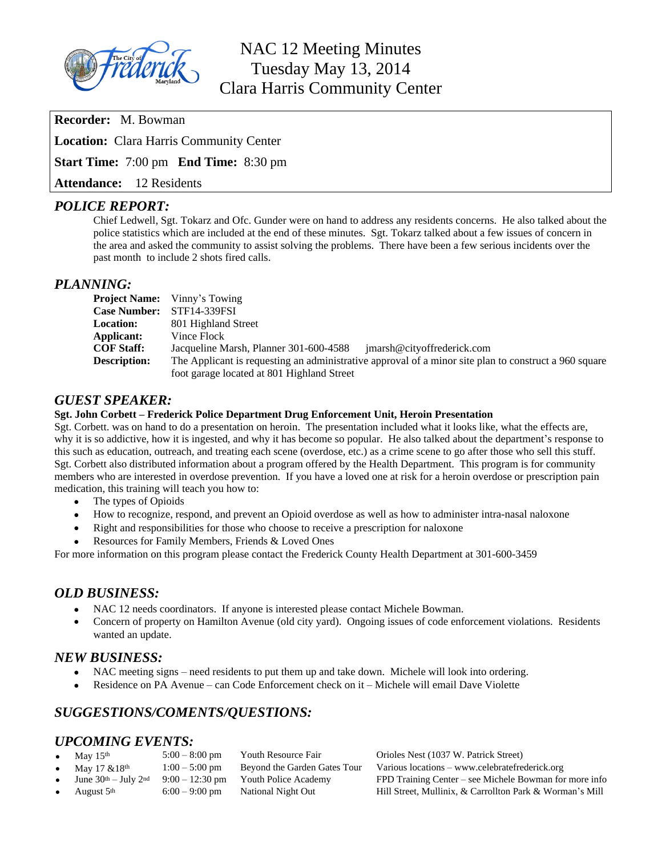

# NAC 12 Meeting Minutes Tuesday May 13, 2014 Clara Harris Community Center

**Recorder:** M. Bowman

**Location:** Clara Harris Community Center

**Start Time:** 7:00 pm **End Time:** 8:30 pm

**Attendance:** 12 Residents

## *POLICE REPORT:*

Chief Ledwell, Sgt. Tokarz and Ofc. Gunder were on hand to address any residents concerns. He also talked about the police statistics which are included at the end of these minutes. Sgt. Tokarz talked about a few issues of concern in the area and asked the community to assist solving the problems. There have been a few serious incidents over the past month to include 2 shots fired calls.

#### *PLANNING:*

|                     | <b>Project Name:</b> Vinny's Towing                                                                   |
|---------------------|-------------------------------------------------------------------------------------------------------|
| <b>Case Number:</b> | STF14-339FSI                                                                                          |
| <b>Location:</b>    | 801 Highland Street                                                                                   |
| Applicant:          | Vince Flock                                                                                           |
| <b>COF Staff:</b>   | Jacqueline Marsh, Planner 301-600-4588<br>imarsh@cityoffrederick.com                                  |
| <b>Description:</b> | The Applicant is requesting an administrative approval of a minor site plan to construct a 960 square |
|                     | foot garage located at 801 Highland Street                                                            |

### *GUEST SPEAKER:*

#### **Sgt. John Corbett – Frederick Police Department Drug Enforcement Unit, Heroin Presentation**

Sgt. Corbett. was on hand to do a presentation on heroin. The presentation included what it looks like, what the effects are, why it is so addictive, how it is ingested, and why it has become so popular. He also talked about the department's response to this such as education, outreach, and treating each scene (overdose, etc.) as a crime scene to go after those who sell this stuff. Sgt. Corbett also distributed information about a program offered by the Health Department. This program is for community members who are interested in overdose prevention. If you have a loved one at risk for a heroin overdose or prescription pain medication, this training will teach you how to:

- The types of Opioids
- How to recognize, respond, and prevent an Opioid overdose as well as how to administer intra-nasal naloxone
- Right and responsibilities for those who choose to receive a prescription for naloxone
- Resources for Family Members, Friends & Loved Ones

For more information on this program please contact the Frederick County Health Department at 301-600-3459

### *OLD BUSINESS:*

- NAC 12 needs coordinators. If anyone is interested please contact Michele Bowman.
- Concern of property on Hamilton Avenue (old city yard). Ongoing issues of code enforcement violations. Residents wanted an update.

### *NEW BUSINESS:*

- NAC meeting signs need residents to put them up and take down. Michele will look into ordering.
- Residence on PA Avenue can Code Enforcement check on it Michele will email Dave Violette

# *SUGGESTIONS/COMENTS/QUESTIONS:*

# *UPCOMING EVENTS:*

| May $15th$                   | $5:00 - 8:00$ pm | Youth Resource Fair          | Orioles Nest (1037 W. Patrick Street)                    |
|------------------------------|------------------|------------------------------|----------------------------------------------------------|
| May $17 \& 18$ <sup>th</sup> | $1:00 - 5:00$ pm | Beyond the Garden Gates Tour | Various locations – www.celebratefrederick.org           |
| June $30th - July 2nd$       | $9:00-12:30$ pm  | Youth Police Academy         | FPD Training Center – see Michele Bowman for more info   |
| August 5 <sup>th</sup>       | $6:00 - 9:00$ pm | National Night Out           | Hill Street, Mullinix, & Carrollton Park & Worman's Mill |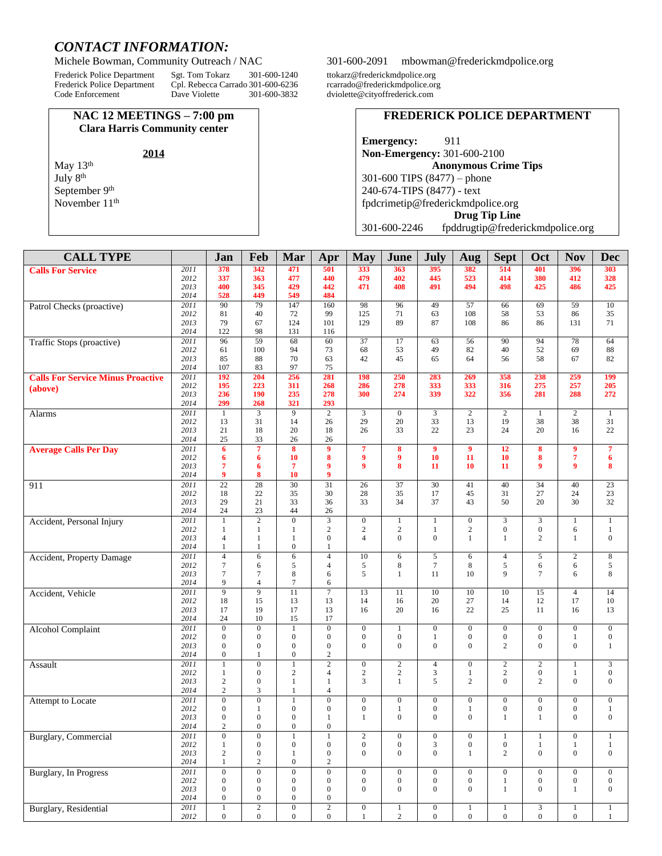# *CONTACT INFORMATION:*

Frederick Police Department Sgt. Tom Tokarz 301-600-1240 ttokarz@frederickmdpolice.org<br>Frederick Police Department Cpl. Rebecca Carrado 301-600-6236 rcarrado@frederickmdpolice.org Frederick Police Department Cpl. Rebecca Carrado 301-600-6236<br>Code Enforcement Dave Violette. 301-600-3832

#### **NAC 12 MEETINGS – 7:00 pm Clara Harris Community center**

May 13<sup>th</sup> July 8th September 9<sup>th</sup> November 11<sup>th</sup>

#### Michele Bowman, Community Outreach / NAC 301-600-2091 [mbowman@frederickmdpolice.org](mailto:mbowman@frederickmdpolice.org)

dviolette@cityoffrederick.com

#### **FREDERICK POLICE DEPARTMENT**

**Emergency:** 911 **Non-Emergency:** 301-600-2100 **Anonymous Crime Tips** 301-600 TIPS (8477) – phone 240-674-TIPS (8477) - text [fpdcrimetip@frederickmdpolice.org](mailto:fpdcrimetip@frederickmdpolice.org) **Drug Tip Line**

301-600-2246 fpddrugtip@frederickmdpolice.org

| 342<br>471<br>2011<br>378<br>501<br>333<br>363<br>395<br>382<br>514<br>401<br>396<br>303<br><b>Calls For Service</b><br>2012<br>337<br>363<br>477<br>479<br>402<br>445<br>523<br>380<br>328<br>440<br>414<br>412<br>345<br>429<br>491<br>494<br>425<br>2013<br>400<br>442<br>471<br>408<br>498<br>425<br>486<br>2014<br>528<br>449<br>549<br>484<br>$\overline{2011}$<br>90<br>79<br>147<br>160<br>98<br>96<br>49<br>57<br>66<br>69<br>59<br>10<br>Patrol Checks (proactive)<br>2012<br>81<br>72<br>99<br>125<br>71<br>108<br>58<br>86<br>35<br>40<br>63<br>53<br>2013<br>79<br>67<br>124<br>89<br>71<br>101<br>129<br>87<br>108<br>86<br>86<br>131<br>2014<br>122<br>98<br>131<br>116<br>$\overline{2011}$<br>59<br>68<br>Traffic Stops (proactive)<br>96<br>60<br>37<br>17<br>63<br>56<br>90<br>94<br>78<br>64<br>100<br>94<br>73<br>68<br>53<br>49<br>82<br>40<br>52<br>69<br>88<br>2012<br>61<br>2013<br>70<br>82<br>85<br>88<br>63<br>42<br>45<br>65<br>64<br>56<br>58<br>67<br>2014<br>107<br>83<br>97<br>75<br>2011<br>192<br>204<br>256<br>281<br>283<br>358<br>238<br>199<br><b>Calls For Service Minus Proactive</b><br>198<br>250<br>269<br>259<br>195<br>268<br>286<br>278<br>333<br>333<br>275<br>257<br>205<br>2012<br>223<br>311<br>316<br>(above)<br>2013<br>236<br>190<br>235<br>278<br>300<br>274<br>339<br>322<br>356<br>281<br>288<br>272<br>299<br>293<br>2014<br>268<br>321<br>2011<br>$\overline{9}$<br>3<br>$\overline{c}$<br>3<br>$\boldsymbol{0}$<br>3<br>$\mathbf{2}$<br>2<br>$\overline{c}$<br>Alarms<br>$\mathbf{1}$<br>1<br>1<br>31<br>14<br>29<br>20<br>33<br>13<br>19<br>38<br>38<br>31<br>2012<br>13<br>26<br>2013<br>21<br>20<br>26<br>33<br>22<br>23<br>24<br>22<br>18<br>18<br>20<br>16<br>25<br>33<br>2014<br>26<br>26<br>$\overline{7}$<br>$\overline{\mathbf{8}}$<br>$\overline{9}$<br><b>Average Calls Per Day</b><br>2011<br>6<br>$\overline{7}$<br>$\overline{9}$<br>$\overline{9}$<br>12<br>8<br>8<br>9<br>7<br>$\overline{7}$<br>2012<br>10<br>8<br>9<br>$\boldsymbol{9}$<br>10<br>11<br>10<br>8<br>6<br>6<br>6<br>$\boldsymbol{9}$<br>8<br>2013<br>7<br>$\overline{7}$<br>10<br>9<br>9<br>8<br>6<br>9<br>11<br>11<br>8<br>10<br>2014<br>9<br>9<br>2011<br>$\overline{22}$<br>$\overline{28}$<br>$\overline{30}$<br>$\overline{31}$<br>$\overline{40}$<br>$\overline{23}$<br>26<br>37<br>30<br>41<br>34<br>40<br>911<br>23<br>2012<br>18<br>22<br>35<br>30<br>28<br>35<br>45<br>31<br>27<br>24<br>17<br>32<br>2013<br>29<br>21<br>34<br>50<br>33<br>36<br>33<br>37<br>43<br>20<br>30<br>2014<br>24<br>23<br>44<br>26<br>$\overline{2}$<br>$\overline{0}$<br>$\overline{3}$<br>2011<br>$\mathbf{0}$<br>$\mathbf{0}$<br>3<br>3<br>Accident, Personal Injury<br>$\mathbf{1}$<br>$\mathbf{1}$<br>1<br>$\mathbf{1}$<br>$\mathbf{1}$<br>2012<br>$\overline{c}$<br>2<br>$\mathbf{2}$<br>$\overline{c}$<br>$\boldsymbol{0}$<br>$\boldsymbol{0}$<br>1<br>$\mathbf{1}$<br>6<br>$\mathbf{1}$<br>1<br>1<br>2013<br>$\mathbf{0}$<br>$\overline{0}$<br>$\mathbf{0}$<br>$\overline{4}$<br>$\mathbf{1}$<br>$\mathbf{1}$<br>$\mathbf{0}$<br>$\overline{4}$<br>$\mathbf{1}$<br>$\mathbf{1}$<br>$\overline{c}$<br>1<br>2014<br>1<br>$\boldsymbol{0}$<br>1<br>1<br>2011<br>Accident, Property Damage<br>$\overline{4}$<br>6<br>6<br>$\overline{4}$<br>10<br>5<br>6<br>$\overline{4}$<br>5<br>$\boldsymbol{2}$<br>$\,8\,$<br>6<br>$7\phantom{.0}$<br>$\sqrt{5}$<br>5<br>8<br>8<br>5<br>2012<br>7<br>6<br>5<br>6<br>6<br>4<br>5<br>$\mathbf{Q}$<br>$\,8\,$<br>2013<br>$7\phantom{.0}$<br>8<br>11<br>$\overline{7}$<br>$\mathbf{1}$<br>10<br>7<br>6<br>6<br>2014<br>9<br>$\tau$<br>$\overline{4}$<br>6<br>2011<br>$\overline{9}$<br>$\overline{9}$<br>11<br>$\overline{7}$<br>13<br>$\overline{11}$<br>10<br>$\overline{4}$<br>10<br>10<br>15<br>14<br>Accident, Vehicle<br>18<br>15<br>27<br>10<br>2012<br>13<br>13<br>14<br>16<br>20<br>14<br>12<br>17<br>17<br>20<br>22<br>25<br>2013<br>17<br>19<br>13<br>16<br>16<br>11<br>16<br>13<br>2014<br>24<br>10<br>15<br>17<br>2011<br>$\overline{0}$<br>$\mathbf{0}$<br>$\,1\,$<br>$\overline{0}$<br>$\mathbf{0}$<br>$\overline{0}$<br>$\mathbf{0}$<br>$\boldsymbol{0}$<br>$\overline{0}$<br>$\overline{0}$<br>$\boldsymbol{0}$<br><b>Alcohol Complaint</b><br>$\mathbf{1}$<br>2012<br>$\overline{0}$<br>$\mathbf{0}$<br>$\boldsymbol{0}$<br>$\boldsymbol{0}$<br>$\boldsymbol{0}$<br>$\mathbf{0}$<br>$\mathbf{0}$<br>$\boldsymbol{0}$<br>$\boldsymbol{0}$<br>$\boldsymbol{0}$<br>1<br>$\mathbf{1}$<br>$\overline{0}$<br>2013<br>$\mathbf{0}$<br>$\overline{0}$<br>$\boldsymbol{0}$<br>$\mathbf{0}$<br>$\mathbf{0}$<br>$\mathbf{0}$<br>2<br>$\overline{0}$<br>$\overline{0}$<br>$\mathbf{1}$<br>$\overline{0}$<br>$\overline{0}$<br>2014<br>$\overline{0}$<br>$\mathfrak{2}$<br>1<br>$\overline{0}$<br>$\overline{2}$<br>$\overline{0}$<br>$\overline{2}$<br>$\overline{0}$<br>$\overline{2}$<br>$\overline{3}$<br>2011<br>$\mathbf{1}$<br>$\mathbf{1}$<br>$\overline{4}$<br>$\overline{c}$<br>$\mathbf{1}$<br>Assault<br>2012<br>$\overline{c}$<br>$\overline{c}$<br>$\mathbf{2}$<br>3<br>2<br>$\boldsymbol{0}$<br>$\mathbf{1}$<br>$\overline{0}$<br>$\overline{4}$<br>$\mathbf{1}$<br>$\mathbf{0}$<br>$\mathbf{1}$<br>$\overline{c}$<br>$\mathbf{0}$<br>3<br>5<br>$\mathbf{0}$<br>$\boldsymbol{0}$<br>$\mathbf{0}$<br>2013<br>$\mathbf{1}$<br>$\mathbf{1}$<br>$\overline{2}$<br>$\overline{c}$<br>1<br>2014<br>3<br>2<br>$\overline{4}$<br>$\mathbf{1}$<br>2011<br>$\overline{0}$<br>$\mathbf{0}$<br>$\overline{0}$<br>$\overline{0}$<br>$\mathbf{1}$<br>$\overline{0}$<br>$\boldsymbol{0}$<br>$\overline{0}$<br>$\mathbf{0}$<br>$\mathbf{0}$<br>$\boldsymbol{0}$<br>$\boldsymbol{0}$<br>Attempt to Locate<br>2012<br>$\overline{0}$<br>$\mathbf{1}$<br>$\boldsymbol{0}$<br>$\boldsymbol{0}$<br>$\mathbf{0}$<br>$\mathbf{1}$<br>0<br>$\mathbf{1}$<br>$\boldsymbol{0}$<br>$\boldsymbol{0}$<br>$\boldsymbol{0}$<br>$\mathbf{1}$<br>$\mathbf{0}$<br>$\mathbf{0}$<br>2013<br>$\mathbf{0}$<br>$\mathbf{0}$<br>$\boldsymbol{0}$<br>$\mathbf{1}$<br>$\overline{0}$<br>$\overline{0}$<br>$\mathbf{1}$<br>$\mathbf{0}$<br>1<br>1<br>2014<br>2<br>$\mathbf{0}$<br>$\mathbf{0}$<br>$\overline{0}$<br>Burglary, Commercial<br>$2011\,$<br>0<br>$\boldsymbol{0}$<br>$\mathbf{0}$<br>-1<br>2<br>$\mathbf{0}$<br>$\mathbf{0}$<br>$\perp$<br>$\mathbf{0}$<br>$\perp$<br>2012<br>$\boldsymbol{0}$<br>$\boldsymbol{0}$<br>$\boldsymbol{0}$<br>$\boldsymbol{0}$<br>3<br>$\boldsymbol{0}$<br>$\boldsymbol{0}$<br>$\boldsymbol{0}$<br>1<br>$\mathbf{1}$<br>1<br>1<br>2013<br>$\mathbf{0}$<br>$\boldsymbol{0}$<br>$\overline{2}$<br>$\mathbf{0}$<br>$\boldsymbol{0}$<br>$\overline{c}$<br>$\boldsymbol{0}$<br>$\boldsymbol{0}$<br>$\overline{0}$<br>1<br>$\mathbf{0}$<br>$\mathbf{1}$<br>2014<br>$\overline{c}$<br>$\boldsymbol{0}$<br>$\mathbf{1}$<br>$\overline{c}$<br>2011<br>$\overline{0}$<br>$\boldsymbol{0}$<br><b>Burglary</b> , In Progress<br>$\boldsymbol{0}$<br>$\boldsymbol{0}$<br>$\overline{0}$<br>$\mathbf{0}$<br>$\mathbf{0}$<br>$\mathbf{0}$<br>$\boldsymbol{0}$<br>$\boldsymbol{0}$<br>$\boldsymbol{0}$<br>$\boldsymbol{0}$<br>2012<br>$\boldsymbol{0}$<br>$\boldsymbol{0}$<br>$\boldsymbol{0}$<br>$\boldsymbol{0}$<br>$\boldsymbol{0}$<br>$\boldsymbol{0}$<br>$\boldsymbol{0}$<br>$\boldsymbol{0}$<br>$\boldsymbol{0}$<br>$\mathbf{0}$<br>$\boldsymbol{0}$<br>$\mathbf{1}$<br>$\mathbf{0}$<br>$\boldsymbol{0}$<br>$\boldsymbol{0}$<br>$\mathbf{0}$<br>2013<br>$\boldsymbol{0}$<br>$\boldsymbol{0}$<br>$\boldsymbol{0}$<br>$\boldsymbol{0}$<br>$\mathbf{0}$<br>$\mathbf{1}$<br>$\boldsymbol{0}$<br>$\mathbf{1}$<br>2014<br>$\mathbf{0}$<br>$\boldsymbol{0}$<br>$\boldsymbol{0}$<br>$\boldsymbol{0}$<br>$\overline{2}$<br>2011<br>$\overline{2}$<br>$\overline{0}$<br>$\overline{3}$<br>$\boldsymbol{0}$<br>$\boldsymbol{0}$<br>Burglary, Residential<br>$\mathbf{1}$<br>$\mathbf{1}$<br>$\mathbf{1}$<br>$\mathbf{1}$<br>$\mathbf{1}$<br>$\mathbf{1}$<br>$\boldsymbol{0}$<br>$\mathbf{0}$<br>$\overline{c}$<br>$\overline{0}$<br>$\boldsymbol{0}$<br>$\mathbf{0}$<br>$\boldsymbol{0}$<br>$\boldsymbol{0}$<br>2012<br>$\boldsymbol{0}$<br>$\overline{0}$<br>$\mathbf{1}$<br>$\mathbf{1}$ | <b>CALL TYPE</b> | Jan | Feb | Mar | Apr | <b>May</b> | June | <b>July</b> | Aug | <b>Sept</b> | Oct | <b>Nov</b> | <b>Dec</b> |
|---------------------------------------------------------------------------------------------------------------------------------------------------------------------------------------------------------------------------------------------------------------------------------------------------------------------------------------------------------------------------------------------------------------------------------------------------------------------------------------------------------------------------------------------------------------------------------------------------------------------------------------------------------------------------------------------------------------------------------------------------------------------------------------------------------------------------------------------------------------------------------------------------------------------------------------------------------------------------------------------------------------------------------------------------------------------------------------------------------------------------------------------------------------------------------------------------------------------------------------------------------------------------------------------------------------------------------------------------------------------------------------------------------------------------------------------------------------------------------------------------------------------------------------------------------------------------------------------------------------------------------------------------------------------------------------------------------------------------------------------------------------------------------------------------------------------------------------------------------------------------------------------------------------------------------------------------------------------------------------------------------------------------------------------------------------------------------------------------------------------------------------------------------------------------------------------------------------------------------------------------------------------------------------------------------------------------------------------------------------------------------------------------------------------------------------------------------------------------------------------------------------------------------------------------------------------------------------------------------------------------------------------------------------------------------------------------------------------------------------------------------------------------------------------------------------------------------------------------------------------------------------------------------------------------------------------------------------------------------------------------------------------------------------------------------------------------------------------------------------------------------------------------------------------------------------------------------------------------------------------------------------------------------------------------------------------------------------------------------------------------------------------------------------------------------------------------------------------------------------------------------------------------------------------------------------------------------------------------------------------------------------------------------------------------------------------------------------------------------------------------------------------------------------------------------------------------------------------------------------------------------------------------------------------------------------------------------------------------------------------------------------------------------------------------------------------------------------------------------------------------------------------------------------------------------------------------------------------------------------------------------------------------------------------------------------------------------------------------------------------------------------------------------------------------------------------------------------------------------------------------------------------------------------------------------------------------------------------------------------------------------------------------------------------------------------------------------------------------------------------------------------------------------------------------------------------------------------------------------------------------------------------------------------------------------------------------------------------------------------------------------------------------------------------------------------------------------------------------------------------------------------------------------------------------------------------------------------------------------------------------------------------------------------------------------------------------------------------------------------------------------------------------------------------------------------------------------------------------------------------------------------------------------------------------------------------------------------------------------------------------------------------------------------------------------------------------------------------------------------------------------------------------------------------------------------------------------------------------------------------------------------------------------------------------------------------------------------------------------------------------------------------------------------------------------------------------------------------------------------------------------------------------------------------------------------------------------------------------------------------------------------------------------------------------------------------------------------------------------------------------------------------------------------------------------------------------------------------------------------------------------------------------------------------------------------------------------------------------------------------------------------------------------------------------------------------------------------------------------------------------------------------------------------------------------------------------------------------------------------------------------------------------------------------------------------------------------------------------------------------------------------------------------------------------------------------------------------------------------------------------------------------------------------------------------------------------------------------------------------------------------------------------------------------------------------------------------------------------------------------------------------------------------------------------------------------------------------------------------------------------------------------------------------------------------------------------------------------------------------------------------------------------------------------------------------------------------------------------------------------------------------------------------------------------------------------------------------------------------------------------------------------------------------------------------------------------------------------------------------------------------------------------------------------------------------------------------------------------------------------------------------------------------|------------------|-----|-----|-----|-----|------------|------|-------------|-----|-------------|-----|------------|------------|
|                                                                                                                                                                                                                                                                                                                                                                                                                                                                                                                                                                                                                                                                                                                                                                                                                                                                                                                                                                                                                                                                                                                                                                                                                                                                                                                                                                                                                                                                                                                                                                                                                                                                                                                                                                                                                                                                                                                                                                                                                                                                                                                                                                                                                                                                                                                                                                                                                                                                                                                                                                                                                                                                                                                                                                                                                                                                                                                                                                                                                                                                                                                                                                                                                                                                                                                                                                                                                                                                                                                                                                                                                                                                                                                                                                                                                                                                                                                                                                                                                                                                                                                                                                                                                                                                                                                                                                                                                                                                                                                                                                                                                                                                                                                                                                                                                                                                                                                                                                                                                                                                                                                                                                                                                                                                                                                                                                                                                                                                                                                                                                                                                                                                                                                                                                                                                                                                                                                                                                                                                                                                                                                                                                                                                                                                                                                                                                                                                                                                                                                                                                                                                                                                                                                                                                                                                                                                                                                                                                                                                                                                                                                                                                                                                                                                                                                                                                                                                                                                                                                                                                                                                                                                                                                                                                                                                                                                                                                                                                                                                                                                                                                                                         |                  |     |     |     |     |            |      |             |     |             |     |            |            |
|                                                                                                                                                                                                                                                                                                                                                                                                                                                                                                                                                                                                                                                                                                                                                                                                                                                                                                                                                                                                                                                                                                                                                                                                                                                                                                                                                                                                                                                                                                                                                                                                                                                                                                                                                                                                                                                                                                                                                                                                                                                                                                                                                                                                                                                                                                                                                                                                                                                                                                                                                                                                                                                                                                                                                                                                                                                                                                                                                                                                                                                                                                                                                                                                                                                                                                                                                                                                                                                                                                                                                                                                                                                                                                                                                                                                                                                                                                                                                                                                                                                                                                                                                                                                                                                                                                                                                                                                                                                                                                                                                                                                                                                                                                                                                                                                                                                                                                                                                                                                                                                                                                                                                                                                                                                                                                                                                                                                                                                                                                                                                                                                                                                                                                                                                                                                                                                                                                                                                                                                                                                                                                                                                                                                                                                                                                                                                                                                                                                                                                                                                                                                                                                                                                                                                                                                                                                                                                                                                                                                                                                                                                                                                                                                                                                                                                                                                                                                                                                                                                                                                                                                                                                                                                                                                                                                                                                                                                                                                                                                                                                                                                                                                         |                  |     |     |     |     |            |      |             |     |             |     |            |            |
|                                                                                                                                                                                                                                                                                                                                                                                                                                                                                                                                                                                                                                                                                                                                                                                                                                                                                                                                                                                                                                                                                                                                                                                                                                                                                                                                                                                                                                                                                                                                                                                                                                                                                                                                                                                                                                                                                                                                                                                                                                                                                                                                                                                                                                                                                                                                                                                                                                                                                                                                                                                                                                                                                                                                                                                                                                                                                                                                                                                                                                                                                                                                                                                                                                                                                                                                                                                                                                                                                                                                                                                                                                                                                                                                                                                                                                                                                                                                                                                                                                                                                                                                                                                                                                                                                                                                                                                                                                                                                                                                                                                                                                                                                                                                                                                                                                                                                                                                                                                                                                                                                                                                                                                                                                                                                                                                                                                                                                                                                                                                                                                                                                                                                                                                                                                                                                                                                                                                                                                                                                                                                                                                                                                                                                                                                                                                                                                                                                                                                                                                                                                                                                                                                                                                                                                                                                                                                                                                                                                                                                                                                                                                                                                                                                                                                                                                                                                                                                                                                                                                                                                                                                                                                                                                                                                                                                                                                                                                                                                                                                                                                                                                                         |                  |     |     |     |     |            |      |             |     |             |     |            |            |
|                                                                                                                                                                                                                                                                                                                                                                                                                                                                                                                                                                                                                                                                                                                                                                                                                                                                                                                                                                                                                                                                                                                                                                                                                                                                                                                                                                                                                                                                                                                                                                                                                                                                                                                                                                                                                                                                                                                                                                                                                                                                                                                                                                                                                                                                                                                                                                                                                                                                                                                                                                                                                                                                                                                                                                                                                                                                                                                                                                                                                                                                                                                                                                                                                                                                                                                                                                                                                                                                                                                                                                                                                                                                                                                                                                                                                                                                                                                                                                                                                                                                                                                                                                                                                                                                                                                                                                                                                                                                                                                                                                                                                                                                                                                                                                                                                                                                                                                                                                                                                                                                                                                                                                                                                                                                                                                                                                                                                                                                                                                                                                                                                                                                                                                                                                                                                                                                                                                                                                                                                                                                                                                                                                                                                                                                                                                                                                                                                                                                                                                                                                                                                                                                                                                                                                                                                                                                                                                                                                                                                                                                                                                                                                                                                                                                                                                                                                                                                                                                                                                                                                                                                                                                                                                                                                                                                                                                                                                                                                                                                                                                                                                                                         |                  |     |     |     |     |            |      |             |     |             |     |            |            |
|                                                                                                                                                                                                                                                                                                                                                                                                                                                                                                                                                                                                                                                                                                                                                                                                                                                                                                                                                                                                                                                                                                                                                                                                                                                                                                                                                                                                                                                                                                                                                                                                                                                                                                                                                                                                                                                                                                                                                                                                                                                                                                                                                                                                                                                                                                                                                                                                                                                                                                                                                                                                                                                                                                                                                                                                                                                                                                                                                                                                                                                                                                                                                                                                                                                                                                                                                                                                                                                                                                                                                                                                                                                                                                                                                                                                                                                                                                                                                                                                                                                                                                                                                                                                                                                                                                                                                                                                                                                                                                                                                                                                                                                                                                                                                                                                                                                                                                                                                                                                                                                                                                                                                                                                                                                                                                                                                                                                                                                                                                                                                                                                                                                                                                                                                                                                                                                                                                                                                                                                                                                                                                                                                                                                                                                                                                                                                                                                                                                                                                                                                                                                                                                                                                                                                                                                                                                                                                                                                                                                                                                                                                                                                                                                                                                                                                                                                                                                                                                                                                                                                                                                                                                                                                                                                                                                                                                                                                                                                                                                                                                                                                                                                         |                  |     |     |     |     |            |      |             |     |             |     |            |            |
|                                                                                                                                                                                                                                                                                                                                                                                                                                                                                                                                                                                                                                                                                                                                                                                                                                                                                                                                                                                                                                                                                                                                                                                                                                                                                                                                                                                                                                                                                                                                                                                                                                                                                                                                                                                                                                                                                                                                                                                                                                                                                                                                                                                                                                                                                                                                                                                                                                                                                                                                                                                                                                                                                                                                                                                                                                                                                                                                                                                                                                                                                                                                                                                                                                                                                                                                                                                                                                                                                                                                                                                                                                                                                                                                                                                                                                                                                                                                                                                                                                                                                                                                                                                                                                                                                                                                                                                                                                                                                                                                                                                                                                                                                                                                                                                                                                                                                                                                                                                                                                                                                                                                                                                                                                                                                                                                                                                                                                                                                                                                                                                                                                                                                                                                                                                                                                                                                                                                                                                                                                                                                                                                                                                                                                                                                                                                                                                                                                                                                                                                                                                                                                                                                                                                                                                                                                                                                                                                                                                                                                                                                                                                                                                                                                                                                                                                                                                                                                                                                                                                                                                                                                                                                                                                                                                                                                                                                                                                                                                                                                                                                                                                                         |                  |     |     |     |     |            |      |             |     |             |     |            |            |
|                                                                                                                                                                                                                                                                                                                                                                                                                                                                                                                                                                                                                                                                                                                                                                                                                                                                                                                                                                                                                                                                                                                                                                                                                                                                                                                                                                                                                                                                                                                                                                                                                                                                                                                                                                                                                                                                                                                                                                                                                                                                                                                                                                                                                                                                                                                                                                                                                                                                                                                                                                                                                                                                                                                                                                                                                                                                                                                                                                                                                                                                                                                                                                                                                                                                                                                                                                                                                                                                                                                                                                                                                                                                                                                                                                                                                                                                                                                                                                                                                                                                                                                                                                                                                                                                                                                                                                                                                                                                                                                                                                                                                                                                                                                                                                                                                                                                                                                                                                                                                                                                                                                                                                                                                                                                                                                                                                                                                                                                                                                                                                                                                                                                                                                                                                                                                                                                                                                                                                                                                                                                                                                                                                                                                                                                                                                                                                                                                                                                                                                                                                                                                                                                                                                                                                                                                                                                                                                                                                                                                                                                                                                                                                                                                                                                                                                                                                                                                                                                                                                                                                                                                                                                                                                                                                                                                                                                                                                                                                                                                                                                                                                                                         |                  |     |     |     |     |            |      |             |     |             |     |            |            |
|                                                                                                                                                                                                                                                                                                                                                                                                                                                                                                                                                                                                                                                                                                                                                                                                                                                                                                                                                                                                                                                                                                                                                                                                                                                                                                                                                                                                                                                                                                                                                                                                                                                                                                                                                                                                                                                                                                                                                                                                                                                                                                                                                                                                                                                                                                                                                                                                                                                                                                                                                                                                                                                                                                                                                                                                                                                                                                                                                                                                                                                                                                                                                                                                                                                                                                                                                                                                                                                                                                                                                                                                                                                                                                                                                                                                                                                                                                                                                                                                                                                                                                                                                                                                                                                                                                                                                                                                                                                                                                                                                                                                                                                                                                                                                                                                                                                                                                                                                                                                                                                                                                                                                                                                                                                                                                                                                                                                                                                                                                                                                                                                                                                                                                                                                                                                                                                                                                                                                                                                                                                                                                                                                                                                                                                                                                                                                                                                                                                                                                                                                                                                                                                                                                                                                                                                                                                                                                                                                                                                                                                                                                                                                                                                                                                                                                                                                                                                                                                                                                                                                                                                                                                                                                                                                                                                                                                                                                                                                                                                                                                                                                                                                         |                  |     |     |     |     |            |      |             |     |             |     |            |            |
|                                                                                                                                                                                                                                                                                                                                                                                                                                                                                                                                                                                                                                                                                                                                                                                                                                                                                                                                                                                                                                                                                                                                                                                                                                                                                                                                                                                                                                                                                                                                                                                                                                                                                                                                                                                                                                                                                                                                                                                                                                                                                                                                                                                                                                                                                                                                                                                                                                                                                                                                                                                                                                                                                                                                                                                                                                                                                                                                                                                                                                                                                                                                                                                                                                                                                                                                                                                                                                                                                                                                                                                                                                                                                                                                                                                                                                                                                                                                                                                                                                                                                                                                                                                                                                                                                                                                                                                                                                                                                                                                                                                                                                                                                                                                                                                                                                                                                                                                                                                                                                                                                                                                                                                                                                                                                                                                                                                                                                                                                                                                                                                                                                                                                                                                                                                                                                                                                                                                                                                                                                                                                                                                                                                                                                                                                                                                                                                                                                                                                                                                                                                                                                                                                                                                                                                                                                                                                                                                                                                                                                                                                                                                                                                                                                                                                                                                                                                                                                                                                                                                                                                                                                                                                                                                                                                                                                                                                                                                                                                                                                                                                                                                                         |                  |     |     |     |     |            |      |             |     |             |     |            |            |
|                                                                                                                                                                                                                                                                                                                                                                                                                                                                                                                                                                                                                                                                                                                                                                                                                                                                                                                                                                                                                                                                                                                                                                                                                                                                                                                                                                                                                                                                                                                                                                                                                                                                                                                                                                                                                                                                                                                                                                                                                                                                                                                                                                                                                                                                                                                                                                                                                                                                                                                                                                                                                                                                                                                                                                                                                                                                                                                                                                                                                                                                                                                                                                                                                                                                                                                                                                                                                                                                                                                                                                                                                                                                                                                                                                                                                                                                                                                                                                                                                                                                                                                                                                                                                                                                                                                                                                                                                                                                                                                                                                                                                                                                                                                                                                                                                                                                                                                                                                                                                                                                                                                                                                                                                                                                                                                                                                                                                                                                                                                                                                                                                                                                                                                                                                                                                                                                                                                                                                                                                                                                                                                                                                                                                                                                                                                                                                                                                                                                                                                                                                                                                                                                                                                                                                                                                                                                                                                                                                                                                                                                                                                                                                                                                                                                                                                                                                                                                                                                                                                                                                                                                                                                                                                                                                                                                                                                                                                                                                                                                                                                                                                                                         |                  |     |     |     |     |            |      |             |     |             |     |            |            |
|                                                                                                                                                                                                                                                                                                                                                                                                                                                                                                                                                                                                                                                                                                                                                                                                                                                                                                                                                                                                                                                                                                                                                                                                                                                                                                                                                                                                                                                                                                                                                                                                                                                                                                                                                                                                                                                                                                                                                                                                                                                                                                                                                                                                                                                                                                                                                                                                                                                                                                                                                                                                                                                                                                                                                                                                                                                                                                                                                                                                                                                                                                                                                                                                                                                                                                                                                                                                                                                                                                                                                                                                                                                                                                                                                                                                                                                                                                                                                                                                                                                                                                                                                                                                                                                                                                                                                                                                                                                                                                                                                                                                                                                                                                                                                                                                                                                                                                                                                                                                                                                                                                                                                                                                                                                                                                                                                                                                                                                                                                                                                                                                                                                                                                                                                                                                                                                                                                                                                                                                                                                                                                                                                                                                                                                                                                                                                                                                                                                                                                                                                                                                                                                                                                                                                                                                                                                                                                                                                                                                                                                                                                                                                                                                                                                                                                                                                                                                                                                                                                                                                                                                                                                                                                                                                                                                                                                                                                                                                                                                                                                                                                                                                         |                  |     |     |     |     |            |      |             |     |             |     |            |            |
|                                                                                                                                                                                                                                                                                                                                                                                                                                                                                                                                                                                                                                                                                                                                                                                                                                                                                                                                                                                                                                                                                                                                                                                                                                                                                                                                                                                                                                                                                                                                                                                                                                                                                                                                                                                                                                                                                                                                                                                                                                                                                                                                                                                                                                                                                                                                                                                                                                                                                                                                                                                                                                                                                                                                                                                                                                                                                                                                                                                                                                                                                                                                                                                                                                                                                                                                                                                                                                                                                                                                                                                                                                                                                                                                                                                                                                                                                                                                                                                                                                                                                                                                                                                                                                                                                                                                                                                                                                                                                                                                                                                                                                                                                                                                                                                                                                                                                                                                                                                                                                                                                                                                                                                                                                                                                                                                                                                                                                                                                                                                                                                                                                                                                                                                                                                                                                                                                                                                                                                                                                                                                                                                                                                                                                                                                                                                                                                                                                                                                                                                                                                                                                                                                                                                                                                                                                                                                                                                                                                                                                                                                                                                                                                                                                                                                                                                                                                                                                                                                                                                                                                                                                                                                                                                                                                                                                                                                                                                                                                                                                                                                                                                                         |                  |     |     |     |     |            |      |             |     |             |     |            |            |
|                                                                                                                                                                                                                                                                                                                                                                                                                                                                                                                                                                                                                                                                                                                                                                                                                                                                                                                                                                                                                                                                                                                                                                                                                                                                                                                                                                                                                                                                                                                                                                                                                                                                                                                                                                                                                                                                                                                                                                                                                                                                                                                                                                                                                                                                                                                                                                                                                                                                                                                                                                                                                                                                                                                                                                                                                                                                                                                                                                                                                                                                                                                                                                                                                                                                                                                                                                                                                                                                                                                                                                                                                                                                                                                                                                                                                                                                                                                                                                                                                                                                                                                                                                                                                                                                                                                                                                                                                                                                                                                                                                                                                                                                                                                                                                                                                                                                                                                                                                                                                                                                                                                                                                                                                                                                                                                                                                                                                                                                                                                                                                                                                                                                                                                                                                                                                                                                                                                                                                                                                                                                                                                                                                                                                                                                                                                                                                                                                                                                                                                                                                                                                                                                                                                                                                                                                                                                                                                                                                                                                                                                                                                                                                                                                                                                                                                                                                                                                                                                                                                                                                                                                                                                                                                                                                                                                                                                                                                                                                                                                                                                                                                                                         |                  |     |     |     |     |            |      |             |     |             |     |            |            |
|                                                                                                                                                                                                                                                                                                                                                                                                                                                                                                                                                                                                                                                                                                                                                                                                                                                                                                                                                                                                                                                                                                                                                                                                                                                                                                                                                                                                                                                                                                                                                                                                                                                                                                                                                                                                                                                                                                                                                                                                                                                                                                                                                                                                                                                                                                                                                                                                                                                                                                                                                                                                                                                                                                                                                                                                                                                                                                                                                                                                                                                                                                                                                                                                                                                                                                                                                                                                                                                                                                                                                                                                                                                                                                                                                                                                                                                                                                                                                                                                                                                                                                                                                                                                                                                                                                                                                                                                                                                                                                                                                                                                                                                                                                                                                                                                                                                                                                                                                                                                                                                                                                                                                                                                                                                                                                                                                                                                                                                                                                                                                                                                                                                                                                                                                                                                                                                                                                                                                                                                                                                                                                                                                                                                                                                                                                                                                                                                                                                                                                                                                                                                                                                                                                                                                                                                                                                                                                                                                                                                                                                                                                                                                                                                                                                                                                                                                                                                                                                                                                                                                                                                                                                                                                                                                                                                                                                                                                                                                                                                                                                                                                                                                         |                  |     |     |     |     |            |      |             |     |             |     |            |            |
|                                                                                                                                                                                                                                                                                                                                                                                                                                                                                                                                                                                                                                                                                                                                                                                                                                                                                                                                                                                                                                                                                                                                                                                                                                                                                                                                                                                                                                                                                                                                                                                                                                                                                                                                                                                                                                                                                                                                                                                                                                                                                                                                                                                                                                                                                                                                                                                                                                                                                                                                                                                                                                                                                                                                                                                                                                                                                                                                                                                                                                                                                                                                                                                                                                                                                                                                                                                                                                                                                                                                                                                                                                                                                                                                                                                                                                                                                                                                                                                                                                                                                                                                                                                                                                                                                                                                                                                                                                                                                                                                                                                                                                                                                                                                                                                                                                                                                                                                                                                                                                                                                                                                                                                                                                                                                                                                                                                                                                                                                                                                                                                                                                                                                                                                                                                                                                                                                                                                                                                                                                                                                                                                                                                                                                                                                                                                                                                                                                                                                                                                                                                                                                                                                                                                                                                                                                                                                                                                                                                                                                                                                                                                                                                                                                                                                                                                                                                                                                                                                                                                                                                                                                                                                                                                                                                                                                                                                                                                                                                                                                                                                                                                                         |                  |     |     |     |     |            |      |             |     |             |     |            |            |
|                                                                                                                                                                                                                                                                                                                                                                                                                                                                                                                                                                                                                                                                                                                                                                                                                                                                                                                                                                                                                                                                                                                                                                                                                                                                                                                                                                                                                                                                                                                                                                                                                                                                                                                                                                                                                                                                                                                                                                                                                                                                                                                                                                                                                                                                                                                                                                                                                                                                                                                                                                                                                                                                                                                                                                                                                                                                                                                                                                                                                                                                                                                                                                                                                                                                                                                                                                                                                                                                                                                                                                                                                                                                                                                                                                                                                                                                                                                                                                                                                                                                                                                                                                                                                                                                                                                                                                                                                                                                                                                                                                                                                                                                                                                                                                                                                                                                                                                                                                                                                                                                                                                                                                                                                                                                                                                                                                                                                                                                                                                                                                                                                                                                                                                                                                                                                                                                                                                                                                                                                                                                                                                                                                                                                                                                                                                                                                                                                                                                                                                                                                                                                                                                                                                                                                                                                                                                                                                                                                                                                                                                                                                                                                                                                                                                                                                                                                                                                                                                                                                                                                                                                                                                                                                                                                                                                                                                                                                                                                                                                                                                                                                                                         |                  |     |     |     |     |            |      |             |     |             |     |            |            |
|                                                                                                                                                                                                                                                                                                                                                                                                                                                                                                                                                                                                                                                                                                                                                                                                                                                                                                                                                                                                                                                                                                                                                                                                                                                                                                                                                                                                                                                                                                                                                                                                                                                                                                                                                                                                                                                                                                                                                                                                                                                                                                                                                                                                                                                                                                                                                                                                                                                                                                                                                                                                                                                                                                                                                                                                                                                                                                                                                                                                                                                                                                                                                                                                                                                                                                                                                                                                                                                                                                                                                                                                                                                                                                                                                                                                                                                                                                                                                                                                                                                                                                                                                                                                                                                                                                                                                                                                                                                                                                                                                                                                                                                                                                                                                                                                                                                                                                                                                                                                                                                                                                                                                                                                                                                                                                                                                                                                                                                                                                                                                                                                                                                                                                                                                                                                                                                                                                                                                                                                                                                                                                                                                                                                                                                                                                                                                                                                                                                                                                                                                                                                                                                                                                                                                                                                                                                                                                                                                                                                                                                                                                                                                                                                                                                                                                                                                                                                                                                                                                                                                                                                                                                                                                                                                                                                                                                                                                                                                                                                                                                                                                                                                         |                  |     |     |     |     |            |      |             |     |             |     |            |            |
|                                                                                                                                                                                                                                                                                                                                                                                                                                                                                                                                                                                                                                                                                                                                                                                                                                                                                                                                                                                                                                                                                                                                                                                                                                                                                                                                                                                                                                                                                                                                                                                                                                                                                                                                                                                                                                                                                                                                                                                                                                                                                                                                                                                                                                                                                                                                                                                                                                                                                                                                                                                                                                                                                                                                                                                                                                                                                                                                                                                                                                                                                                                                                                                                                                                                                                                                                                                                                                                                                                                                                                                                                                                                                                                                                                                                                                                                                                                                                                                                                                                                                                                                                                                                                                                                                                                                                                                                                                                                                                                                                                                                                                                                                                                                                                                                                                                                                                                                                                                                                                                                                                                                                                                                                                                                                                                                                                                                                                                                                                                                                                                                                                                                                                                                                                                                                                                                                                                                                                                                                                                                                                                                                                                                                                                                                                                                                                                                                                                                                                                                                                                                                                                                                                                                                                                                                                                                                                                                                                                                                                                                                                                                                                                                                                                                                                                                                                                                                                                                                                                                                                                                                                                                                                                                                                                                                                                                                                                                                                                                                                                                                                                                                         |                  |     |     |     |     |            |      |             |     |             |     |            |            |
|                                                                                                                                                                                                                                                                                                                                                                                                                                                                                                                                                                                                                                                                                                                                                                                                                                                                                                                                                                                                                                                                                                                                                                                                                                                                                                                                                                                                                                                                                                                                                                                                                                                                                                                                                                                                                                                                                                                                                                                                                                                                                                                                                                                                                                                                                                                                                                                                                                                                                                                                                                                                                                                                                                                                                                                                                                                                                                                                                                                                                                                                                                                                                                                                                                                                                                                                                                                                                                                                                                                                                                                                                                                                                                                                                                                                                                                                                                                                                                                                                                                                                                                                                                                                                                                                                                                                                                                                                                                                                                                                                                                                                                                                                                                                                                                                                                                                                                                                                                                                                                                                                                                                                                                                                                                                                                                                                                                                                                                                                                                                                                                                                                                                                                                                                                                                                                                                                                                                                                                                                                                                                                                                                                                                                                                                                                                                                                                                                                                                                                                                                                                                                                                                                                                                                                                                                                                                                                                                                                                                                                                                                                                                                                                                                                                                                                                                                                                                                                                                                                                                                                                                                                                                                                                                                                                                                                                                                                                                                                                                                                                                                                                                                         |                  |     |     |     |     |            |      |             |     |             |     |            |            |
|                                                                                                                                                                                                                                                                                                                                                                                                                                                                                                                                                                                                                                                                                                                                                                                                                                                                                                                                                                                                                                                                                                                                                                                                                                                                                                                                                                                                                                                                                                                                                                                                                                                                                                                                                                                                                                                                                                                                                                                                                                                                                                                                                                                                                                                                                                                                                                                                                                                                                                                                                                                                                                                                                                                                                                                                                                                                                                                                                                                                                                                                                                                                                                                                                                                                                                                                                                                                                                                                                                                                                                                                                                                                                                                                                                                                                                                                                                                                                                                                                                                                                                                                                                                                                                                                                                                                                                                                                                                                                                                                                                                                                                                                                                                                                                                                                                                                                                                                                                                                                                                                                                                                                                                                                                                                                                                                                                                                                                                                                                                                                                                                                                                                                                                                                                                                                                                                                                                                                                                                                                                                                                                                                                                                                                                                                                                                                                                                                                                                                                                                                                                                                                                                                                                                                                                                                                                                                                                                                                                                                                                                                                                                                                                                                                                                                                                                                                                                                                                                                                                                                                                                                                                                                                                                                                                                                                                                                                                                                                                                                                                                                                                                                         |                  |     |     |     |     |            |      |             |     |             |     |            |            |
|                                                                                                                                                                                                                                                                                                                                                                                                                                                                                                                                                                                                                                                                                                                                                                                                                                                                                                                                                                                                                                                                                                                                                                                                                                                                                                                                                                                                                                                                                                                                                                                                                                                                                                                                                                                                                                                                                                                                                                                                                                                                                                                                                                                                                                                                                                                                                                                                                                                                                                                                                                                                                                                                                                                                                                                                                                                                                                                                                                                                                                                                                                                                                                                                                                                                                                                                                                                                                                                                                                                                                                                                                                                                                                                                                                                                                                                                                                                                                                                                                                                                                                                                                                                                                                                                                                                                                                                                                                                                                                                                                                                                                                                                                                                                                                                                                                                                                                                                                                                                                                                                                                                                                                                                                                                                                                                                                                                                                                                                                                                                                                                                                                                                                                                                                                                                                                                                                                                                                                                                                                                                                                                                                                                                                                                                                                                                                                                                                                                                                                                                                                                                                                                                                                                                                                                                                                                                                                                                                                                                                                                                                                                                                                                                                                                                                                                                                                                                                                                                                                                                                                                                                                                                                                                                                                                                                                                                                                                                                                                                                                                                                                                                                         |                  |     |     |     |     |            |      |             |     |             |     |            |            |
|                                                                                                                                                                                                                                                                                                                                                                                                                                                                                                                                                                                                                                                                                                                                                                                                                                                                                                                                                                                                                                                                                                                                                                                                                                                                                                                                                                                                                                                                                                                                                                                                                                                                                                                                                                                                                                                                                                                                                                                                                                                                                                                                                                                                                                                                                                                                                                                                                                                                                                                                                                                                                                                                                                                                                                                                                                                                                                                                                                                                                                                                                                                                                                                                                                                                                                                                                                                                                                                                                                                                                                                                                                                                                                                                                                                                                                                                                                                                                                                                                                                                                                                                                                                                                                                                                                                                                                                                                                                                                                                                                                                                                                                                                                                                                                                                                                                                                                                                                                                                                                                                                                                                                                                                                                                                                                                                                                                                                                                                                                                                                                                                                                                                                                                                                                                                                                                                                                                                                                                                                                                                                                                                                                                                                                                                                                                                                                                                                                                                                                                                                                                                                                                                                                                                                                                                                                                                                                                                                                                                                                                                                                                                                                                                                                                                                                                                                                                                                                                                                                                                                                                                                                                                                                                                                                                                                                                                                                                                                                                                                                                                                                                                                         |                  |     |     |     |     |            |      |             |     |             |     |            |            |
|                                                                                                                                                                                                                                                                                                                                                                                                                                                                                                                                                                                                                                                                                                                                                                                                                                                                                                                                                                                                                                                                                                                                                                                                                                                                                                                                                                                                                                                                                                                                                                                                                                                                                                                                                                                                                                                                                                                                                                                                                                                                                                                                                                                                                                                                                                                                                                                                                                                                                                                                                                                                                                                                                                                                                                                                                                                                                                                                                                                                                                                                                                                                                                                                                                                                                                                                                                                                                                                                                                                                                                                                                                                                                                                                                                                                                                                                                                                                                                                                                                                                                                                                                                                                                                                                                                                                                                                                                                                                                                                                                                                                                                                                                                                                                                                                                                                                                                                                                                                                                                                                                                                                                                                                                                                                                                                                                                                                                                                                                                                                                                                                                                                                                                                                                                                                                                                                                                                                                                                                                                                                                                                                                                                                                                                                                                                                                                                                                                                                                                                                                                                                                                                                                                                                                                                                                                                                                                                                                                                                                                                                                                                                                                                                                                                                                                                                                                                                                                                                                                                                                                                                                                                                                                                                                                                                                                                                                                                                                                                                                                                                                                                                                         |                  |     |     |     |     |            |      |             |     |             |     |            |            |
|                                                                                                                                                                                                                                                                                                                                                                                                                                                                                                                                                                                                                                                                                                                                                                                                                                                                                                                                                                                                                                                                                                                                                                                                                                                                                                                                                                                                                                                                                                                                                                                                                                                                                                                                                                                                                                                                                                                                                                                                                                                                                                                                                                                                                                                                                                                                                                                                                                                                                                                                                                                                                                                                                                                                                                                                                                                                                                                                                                                                                                                                                                                                                                                                                                                                                                                                                                                                                                                                                                                                                                                                                                                                                                                                                                                                                                                                                                                                                                                                                                                                                                                                                                                                                                                                                                                                                                                                                                                                                                                                                                                                                                                                                                                                                                                                                                                                                                                                                                                                                                                                                                                                                                                                                                                                                                                                                                                                                                                                                                                                                                                                                                                                                                                                                                                                                                                                                                                                                                                                                                                                                                                                                                                                                                                                                                                                                                                                                                                                                                                                                                                                                                                                                                                                                                                                                                                                                                                                                                                                                                                                                                                                                                                                                                                                                                                                                                                                                                                                                                                                                                                                                                                                                                                                                                                                                                                                                                                                                                                                                                                                                                                                                         |                  |     |     |     |     |            |      |             |     |             |     |            |            |
|                                                                                                                                                                                                                                                                                                                                                                                                                                                                                                                                                                                                                                                                                                                                                                                                                                                                                                                                                                                                                                                                                                                                                                                                                                                                                                                                                                                                                                                                                                                                                                                                                                                                                                                                                                                                                                                                                                                                                                                                                                                                                                                                                                                                                                                                                                                                                                                                                                                                                                                                                                                                                                                                                                                                                                                                                                                                                                                                                                                                                                                                                                                                                                                                                                                                                                                                                                                                                                                                                                                                                                                                                                                                                                                                                                                                                                                                                                                                                                                                                                                                                                                                                                                                                                                                                                                                                                                                                                                                                                                                                                                                                                                                                                                                                                                                                                                                                                                                                                                                                                                                                                                                                                                                                                                                                                                                                                                                                                                                                                                                                                                                                                                                                                                                                                                                                                                                                                                                                                                                                                                                                                                                                                                                                                                                                                                                                                                                                                                                                                                                                                                                                                                                                                                                                                                                                                                                                                                                                                                                                                                                                                                                                                                                                                                                                                                                                                                                                                                                                                                                                                                                                                                                                                                                                                                                                                                                                                                                                                                                                                                                                                                                                         |                  |     |     |     |     |            |      |             |     |             |     |            |            |
|                                                                                                                                                                                                                                                                                                                                                                                                                                                                                                                                                                                                                                                                                                                                                                                                                                                                                                                                                                                                                                                                                                                                                                                                                                                                                                                                                                                                                                                                                                                                                                                                                                                                                                                                                                                                                                                                                                                                                                                                                                                                                                                                                                                                                                                                                                                                                                                                                                                                                                                                                                                                                                                                                                                                                                                                                                                                                                                                                                                                                                                                                                                                                                                                                                                                                                                                                                                                                                                                                                                                                                                                                                                                                                                                                                                                                                                                                                                                                                                                                                                                                                                                                                                                                                                                                                                                                                                                                                                                                                                                                                                                                                                                                                                                                                                                                                                                                                                                                                                                                                                                                                                                                                                                                                                                                                                                                                                                                                                                                                                                                                                                                                                                                                                                                                                                                                                                                                                                                                                                                                                                                                                                                                                                                                                                                                                                                                                                                                                                                                                                                                                                                                                                                                                                                                                                                                                                                                                                                                                                                                                                                                                                                                                                                                                                                                                                                                                                                                                                                                                                                                                                                                                                                                                                                                                                                                                                                                                                                                                                                                                                                                                                                         |                  |     |     |     |     |            |      |             |     |             |     |            |            |
|                                                                                                                                                                                                                                                                                                                                                                                                                                                                                                                                                                                                                                                                                                                                                                                                                                                                                                                                                                                                                                                                                                                                                                                                                                                                                                                                                                                                                                                                                                                                                                                                                                                                                                                                                                                                                                                                                                                                                                                                                                                                                                                                                                                                                                                                                                                                                                                                                                                                                                                                                                                                                                                                                                                                                                                                                                                                                                                                                                                                                                                                                                                                                                                                                                                                                                                                                                                                                                                                                                                                                                                                                                                                                                                                                                                                                                                                                                                                                                                                                                                                                                                                                                                                                                                                                                                                                                                                                                                                                                                                                                                                                                                                                                                                                                                                                                                                                                                                                                                                                                                                                                                                                                                                                                                                                                                                                                                                                                                                                                                                                                                                                                                                                                                                                                                                                                                                                                                                                                                                                                                                                                                                                                                                                                                                                                                                                                                                                                                                                                                                                                                                                                                                                                                                                                                                                                                                                                                                                                                                                                                                                                                                                                                                                                                                                                                                                                                                                                                                                                                                                                                                                                                                                                                                                                                                                                                                                                                                                                                                                                                                                                                                                         |                  |     |     |     |     |            |      |             |     |             |     |            |            |
|                                                                                                                                                                                                                                                                                                                                                                                                                                                                                                                                                                                                                                                                                                                                                                                                                                                                                                                                                                                                                                                                                                                                                                                                                                                                                                                                                                                                                                                                                                                                                                                                                                                                                                                                                                                                                                                                                                                                                                                                                                                                                                                                                                                                                                                                                                                                                                                                                                                                                                                                                                                                                                                                                                                                                                                                                                                                                                                                                                                                                                                                                                                                                                                                                                                                                                                                                                                                                                                                                                                                                                                                                                                                                                                                                                                                                                                                                                                                                                                                                                                                                                                                                                                                                                                                                                                                                                                                                                                                                                                                                                                                                                                                                                                                                                                                                                                                                                                                                                                                                                                                                                                                                                                                                                                                                                                                                                                                                                                                                                                                                                                                                                                                                                                                                                                                                                                                                                                                                                                                                                                                                                                                                                                                                                                                                                                                                                                                                                                                                                                                                                                                                                                                                                                                                                                                                                                                                                                                                                                                                                                                                                                                                                                                                                                                                                                                                                                                                                                                                                                                                                                                                                                                                                                                                                                                                                                                                                                                                                                                                                                                                                                                                         |                  |     |     |     |     |            |      |             |     |             |     |            |            |
|                                                                                                                                                                                                                                                                                                                                                                                                                                                                                                                                                                                                                                                                                                                                                                                                                                                                                                                                                                                                                                                                                                                                                                                                                                                                                                                                                                                                                                                                                                                                                                                                                                                                                                                                                                                                                                                                                                                                                                                                                                                                                                                                                                                                                                                                                                                                                                                                                                                                                                                                                                                                                                                                                                                                                                                                                                                                                                                                                                                                                                                                                                                                                                                                                                                                                                                                                                                                                                                                                                                                                                                                                                                                                                                                                                                                                                                                                                                                                                                                                                                                                                                                                                                                                                                                                                                                                                                                                                                                                                                                                                                                                                                                                                                                                                                                                                                                                                                                                                                                                                                                                                                                                                                                                                                                                                                                                                                                                                                                                                                                                                                                                                                                                                                                                                                                                                                                                                                                                                                                                                                                                                                                                                                                                                                                                                                                                                                                                                                                                                                                                                                                                                                                                                                                                                                                                                                                                                                                                                                                                                                                                                                                                                                                                                                                                                                                                                                                                                                                                                                                                                                                                                                                                                                                                                                                                                                                                                                                                                                                                                                                                                                                                         |                  |     |     |     |     |            |      |             |     |             |     |            |            |
|                                                                                                                                                                                                                                                                                                                                                                                                                                                                                                                                                                                                                                                                                                                                                                                                                                                                                                                                                                                                                                                                                                                                                                                                                                                                                                                                                                                                                                                                                                                                                                                                                                                                                                                                                                                                                                                                                                                                                                                                                                                                                                                                                                                                                                                                                                                                                                                                                                                                                                                                                                                                                                                                                                                                                                                                                                                                                                                                                                                                                                                                                                                                                                                                                                                                                                                                                                                                                                                                                                                                                                                                                                                                                                                                                                                                                                                                                                                                                                                                                                                                                                                                                                                                                                                                                                                                                                                                                                                                                                                                                                                                                                                                                                                                                                                                                                                                                                                                                                                                                                                                                                                                                                                                                                                                                                                                                                                                                                                                                                                                                                                                                                                                                                                                                                                                                                                                                                                                                                                                                                                                                                                                                                                                                                                                                                                                                                                                                                                                                                                                                                                                                                                                                                                                                                                                                                                                                                                                                                                                                                                                                                                                                                                                                                                                                                                                                                                                                                                                                                                                                                                                                                                                                                                                                                                                                                                                                                                                                                                                                                                                                                                                                         |                  |     |     |     |     |            |      |             |     |             |     |            |            |
|                                                                                                                                                                                                                                                                                                                                                                                                                                                                                                                                                                                                                                                                                                                                                                                                                                                                                                                                                                                                                                                                                                                                                                                                                                                                                                                                                                                                                                                                                                                                                                                                                                                                                                                                                                                                                                                                                                                                                                                                                                                                                                                                                                                                                                                                                                                                                                                                                                                                                                                                                                                                                                                                                                                                                                                                                                                                                                                                                                                                                                                                                                                                                                                                                                                                                                                                                                                                                                                                                                                                                                                                                                                                                                                                                                                                                                                                                                                                                                                                                                                                                                                                                                                                                                                                                                                                                                                                                                                                                                                                                                                                                                                                                                                                                                                                                                                                                                                                                                                                                                                                                                                                                                                                                                                                                                                                                                                                                                                                                                                                                                                                                                                                                                                                                                                                                                                                                                                                                                                                                                                                                                                                                                                                                                                                                                                                                                                                                                                                                                                                                                                                                                                                                                                                                                                                                                                                                                                                                                                                                                                                                                                                                                                                                                                                                                                                                                                                                                                                                                                                                                                                                                                                                                                                                                                                                                                                                                                                                                                                                                                                                                                                                         |                  |     |     |     |     |            |      |             |     |             |     |            |            |
|                                                                                                                                                                                                                                                                                                                                                                                                                                                                                                                                                                                                                                                                                                                                                                                                                                                                                                                                                                                                                                                                                                                                                                                                                                                                                                                                                                                                                                                                                                                                                                                                                                                                                                                                                                                                                                                                                                                                                                                                                                                                                                                                                                                                                                                                                                                                                                                                                                                                                                                                                                                                                                                                                                                                                                                                                                                                                                                                                                                                                                                                                                                                                                                                                                                                                                                                                                                                                                                                                                                                                                                                                                                                                                                                                                                                                                                                                                                                                                                                                                                                                                                                                                                                                                                                                                                                                                                                                                                                                                                                                                                                                                                                                                                                                                                                                                                                                                                                                                                                                                                                                                                                                                                                                                                                                                                                                                                                                                                                                                                                                                                                                                                                                                                                                                                                                                                                                                                                                                                                                                                                                                                                                                                                                                                                                                                                                                                                                                                                                                                                                                                                                                                                                                                                                                                                                                                                                                                                                                                                                                                                                                                                                                                                                                                                                                                                                                                                                                                                                                                                                                                                                                                                                                                                                                                                                                                                                                                                                                                                                                                                                                                                                         |                  |     |     |     |     |            |      |             |     |             |     |            |            |
|                                                                                                                                                                                                                                                                                                                                                                                                                                                                                                                                                                                                                                                                                                                                                                                                                                                                                                                                                                                                                                                                                                                                                                                                                                                                                                                                                                                                                                                                                                                                                                                                                                                                                                                                                                                                                                                                                                                                                                                                                                                                                                                                                                                                                                                                                                                                                                                                                                                                                                                                                                                                                                                                                                                                                                                                                                                                                                                                                                                                                                                                                                                                                                                                                                                                                                                                                                                                                                                                                                                                                                                                                                                                                                                                                                                                                                                                                                                                                                                                                                                                                                                                                                                                                                                                                                                                                                                                                                                                                                                                                                                                                                                                                                                                                                                                                                                                                                                                                                                                                                                                                                                                                                                                                                                                                                                                                                                                                                                                                                                                                                                                                                                                                                                                                                                                                                                                                                                                                                                                                                                                                                                                                                                                                                                                                                                                                                                                                                                                                                                                                                                                                                                                                                                                                                                                                                                                                                                                                                                                                                                                                                                                                                                                                                                                                                                                                                                                                                                                                                                                                                                                                                                                                                                                                                                                                                                                                                                                                                                                                                                                                                                                                         |                  |     |     |     |     |            |      |             |     |             |     |            |            |
|                                                                                                                                                                                                                                                                                                                                                                                                                                                                                                                                                                                                                                                                                                                                                                                                                                                                                                                                                                                                                                                                                                                                                                                                                                                                                                                                                                                                                                                                                                                                                                                                                                                                                                                                                                                                                                                                                                                                                                                                                                                                                                                                                                                                                                                                                                                                                                                                                                                                                                                                                                                                                                                                                                                                                                                                                                                                                                                                                                                                                                                                                                                                                                                                                                                                                                                                                                                                                                                                                                                                                                                                                                                                                                                                                                                                                                                                                                                                                                                                                                                                                                                                                                                                                                                                                                                                                                                                                                                                                                                                                                                                                                                                                                                                                                                                                                                                                                                                                                                                                                                                                                                                                                                                                                                                                                                                                                                                                                                                                                                                                                                                                                                                                                                                                                                                                                                                                                                                                                                                                                                                                                                                                                                                                                                                                                                                                                                                                                                                                                                                                                                                                                                                                                                                                                                                                                                                                                                                                                                                                                                                                                                                                                                                                                                                                                                                                                                                                                                                                                                                                                                                                                                                                                                                                                                                                                                                                                                                                                                                                                                                                                                                                         |                  |     |     |     |     |            |      |             |     |             |     |            |            |
|                                                                                                                                                                                                                                                                                                                                                                                                                                                                                                                                                                                                                                                                                                                                                                                                                                                                                                                                                                                                                                                                                                                                                                                                                                                                                                                                                                                                                                                                                                                                                                                                                                                                                                                                                                                                                                                                                                                                                                                                                                                                                                                                                                                                                                                                                                                                                                                                                                                                                                                                                                                                                                                                                                                                                                                                                                                                                                                                                                                                                                                                                                                                                                                                                                                                                                                                                                                                                                                                                                                                                                                                                                                                                                                                                                                                                                                                                                                                                                                                                                                                                                                                                                                                                                                                                                                                                                                                                                                                                                                                                                                                                                                                                                                                                                                                                                                                                                                                                                                                                                                                                                                                                                                                                                                                                                                                                                                                                                                                                                                                                                                                                                                                                                                                                                                                                                                                                                                                                                                                                                                                                                                                                                                                                                                                                                                                                                                                                                                                                                                                                                                                                                                                                                                                                                                                                                                                                                                                                                                                                                                                                                                                                                                                                                                                                                                                                                                                                                                                                                                                                                                                                                                                                                                                                                                                                                                                                                                                                                                                                                                                                                                                                         |                  |     |     |     |     |            |      |             |     |             |     |            |            |
|                                                                                                                                                                                                                                                                                                                                                                                                                                                                                                                                                                                                                                                                                                                                                                                                                                                                                                                                                                                                                                                                                                                                                                                                                                                                                                                                                                                                                                                                                                                                                                                                                                                                                                                                                                                                                                                                                                                                                                                                                                                                                                                                                                                                                                                                                                                                                                                                                                                                                                                                                                                                                                                                                                                                                                                                                                                                                                                                                                                                                                                                                                                                                                                                                                                                                                                                                                                                                                                                                                                                                                                                                                                                                                                                                                                                                                                                                                                                                                                                                                                                                                                                                                                                                                                                                                                                                                                                                                                                                                                                                                                                                                                                                                                                                                                                                                                                                                                                                                                                                                                                                                                                                                                                                                                                                                                                                                                                                                                                                                                                                                                                                                                                                                                                                                                                                                                                                                                                                                                                                                                                                                                                                                                                                                                                                                                                                                                                                                                                                                                                                                                                                                                                                                                                                                                                                                                                                                                                                                                                                                                                                                                                                                                                                                                                                                                                                                                                                                                                                                                                                                                                                                                                                                                                                                                                                                                                                                                                                                                                                                                                                                                                                         |                  |     |     |     |     |            |      |             |     |             |     |            |            |
|                                                                                                                                                                                                                                                                                                                                                                                                                                                                                                                                                                                                                                                                                                                                                                                                                                                                                                                                                                                                                                                                                                                                                                                                                                                                                                                                                                                                                                                                                                                                                                                                                                                                                                                                                                                                                                                                                                                                                                                                                                                                                                                                                                                                                                                                                                                                                                                                                                                                                                                                                                                                                                                                                                                                                                                                                                                                                                                                                                                                                                                                                                                                                                                                                                                                                                                                                                                                                                                                                                                                                                                                                                                                                                                                                                                                                                                                                                                                                                                                                                                                                                                                                                                                                                                                                                                                                                                                                                                                                                                                                                                                                                                                                                                                                                                                                                                                                                                                                                                                                                                                                                                                                                                                                                                                                                                                                                                                                                                                                                                                                                                                                                                                                                                                                                                                                                                                                                                                                                                                                                                                                                                                                                                                                                                                                                                                                                                                                                                                                                                                                                                                                                                                                                                                                                                                                                                                                                                                                                                                                                                                                                                                                                                                                                                                                                                                                                                                                                                                                                                                                                                                                                                                                                                                                                                                                                                                                                                                                                                                                                                                                                                                                         |                  |     |     |     |     |            |      |             |     |             |     |            |            |
|                                                                                                                                                                                                                                                                                                                                                                                                                                                                                                                                                                                                                                                                                                                                                                                                                                                                                                                                                                                                                                                                                                                                                                                                                                                                                                                                                                                                                                                                                                                                                                                                                                                                                                                                                                                                                                                                                                                                                                                                                                                                                                                                                                                                                                                                                                                                                                                                                                                                                                                                                                                                                                                                                                                                                                                                                                                                                                                                                                                                                                                                                                                                                                                                                                                                                                                                                                                                                                                                                                                                                                                                                                                                                                                                                                                                                                                                                                                                                                                                                                                                                                                                                                                                                                                                                                                                                                                                                                                                                                                                                                                                                                                                                                                                                                                                                                                                                                                                                                                                                                                                                                                                                                                                                                                                                                                                                                                                                                                                                                                                                                                                                                                                                                                                                                                                                                                                                                                                                                                                                                                                                                                                                                                                                                                                                                                                                                                                                                                                                                                                                                                                                                                                                                                                                                                                                                                                                                                                                                                                                                                                                                                                                                                                                                                                                                                                                                                                                                                                                                                                                                                                                                                                                                                                                                                                                                                                                                                                                                                                                                                                                                                                                         |                  |     |     |     |     |            |      |             |     |             |     |            |            |
|                                                                                                                                                                                                                                                                                                                                                                                                                                                                                                                                                                                                                                                                                                                                                                                                                                                                                                                                                                                                                                                                                                                                                                                                                                                                                                                                                                                                                                                                                                                                                                                                                                                                                                                                                                                                                                                                                                                                                                                                                                                                                                                                                                                                                                                                                                                                                                                                                                                                                                                                                                                                                                                                                                                                                                                                                                                                                                                                                                                                                                                                                                                                                                                                                                                                                                                                                                                                                                                                                                                                                                                                                                                                                                                                                                                                                                                                                                                                                                                                                                                                                                                                                                                                                                                                                                                                                                                                                                                                                                                                                                                                                                                                                                                                                                                                                                                                                                                                                                                                                                                                                                                                                                                                                                                                                                                                                                                                                                                                                                                                                                                                                                                                                                                                                                                                                                                                                                                                                                                                                                                                                                                                                                                                                                                                                                                                                                                                                                                                                                                                                                                                                                                                                                                                                                                                                                                                                                                                                                                                                                                                                                                                                                                                                                                                                                                                                                                                                                                                                                                                                                                                                                                                                                                                                                                                                                                                                                                                                                                                                                                                                                                                                         |                  |     |     |     |     |            |      |             |     |             |     |            |            |
|                                                                                                                                                                                                                                                                                                                                                                                                                                                                                                                                                                                                                                                                                                                                                                                                                                                                                                                                                                                                                                                                                                                                                                                                                                                                                                                                                                                                                                                                                                                                                                                                                                                                                                                                                                                                                                                                                                                                                                                                                                                                                                                                                                                                                                                                                                                                                                                                                                                                                                                                                                                                                                                                                                                                                                                                                                                                                                                                                                                                                                                                                                                                                                                                                                                                                                                                                                                                                                                                                                                                                                                                                                                                                                                                                                                                                                                                                                                                                                                                                                                                                                                                                                                                                                                                                                                                                                                                                                                                                                                                                                                                                                                                                                                                                                                                                                                                                                                                                                                                                                                                                                                                                                                                                                                                                                                                                                                                                                                                                                                                                                                                                                                                                                                                                                                                                                                                                                                                                                                                                                                                                                                                                                                                                                                                                                                                                                                                                                                                                                                                                                                                                                                                                                                                                                                                                                                                                                                                                                                                                                                                                                                                                                                                                                                                                                                                                                                                                                                                                                                                                                                                                                                                                                                                                                                                                                                                                                                                                                                                                                                                                                                                                         |                  |     |     |     |     |            |      |             |     |             |     |            |            |
|                                                                                                                                                                                                                                                                                                                                                                                                                                                                                                                                                                                                                                                                                                                                                                                                                                                                                                                                                                                                                                                                                                                                                                                                                                                                                                                                                                                                                                                                                                                                                                                                                                                                                                                                                                                                                                                                                                                                                                                                                                                                                                                                                                                                                                                                                                                                                                                                                                                                                                                                                                                                                                                                                                                                                                                                                                                                                                                                                                                                                                                                                                                                                                                                                                                                                                                                                                                                                                                                                                                                                                                                                                                                                                                                                                                                                                                                                                                                                                                                                                                                                                                                                                                                                                                                                                                                                                                                                                                                                                                                                                                                                                                                                                                                                                                                                                                                                                                                                                                                                                                                                                                                                                                                                                                                                                                                                                                                                                                                                                                                                                                                                                                                                                                                                                                                                                                                                                                                                                                                                                                                                                                                                                                                                                                                                                                                                                                                                                                                                                                                                                                                                                                                                                                                                                                                                                                                                                                                                                                                                                                                                                                                                                                                                                                                                                                                                                                                                                                                                                                                                                                                                                                                                                                                                                                                                                                                                                                                                                                                                                                                                                                                                         |                  |     |     |     |     |            |      |             |     |             |     |            |            |
|                                                                                                                                                                                                                                                                                                                                                                                                                                                                                                                                                                                                                                                                                                                                                                                                                                                                                                                                                                                                                                                                                                                                                                                                                                                                                                                                                                                                                                                                                                                                                                                                                                                                                                                                                                                                                                                                                                                                                                                                                                                                                                                                                                                                                                                                                                                                                                                                                                                                                                                                                                                                                                                                                                                                                                                                                                                                                                                                                                                                                                                                                                                                                                                                                                                                                                                                                                                                                                                                                                                                                                                                                                                                                                                                                                                                                                                                                                                                                                                                                                                                                                                                                                                                                                                                                                                                                                                                                                                                                                                                                                                                                                                                                                                                                                                                                                                                                                                                                                                                                                                                                                                                                                                                                                                                                                                                                                                                                                                                                                                                                                                                                                                                                                                                                                                                                                                                                                                                                                                                                                                                                                                                                                                                                                                                                                                                                                                                                                                                                                                                                                                                                                                                                                                                                                                                                                                                                                                                                                                                                                                                                                                                                                                                                                                                                                                                                                                                                                                                                                                                                                                                                                                                                                                                                                                                                                                                                                                                                                                                                                                                                                                                                         |                  |     |     |     |     |            |      |             |     |             |     |            |            |
|                                                                                                                                                                                                                                                                                                                                                                                                                                                                                                                                                                                                                                                                                                                                                                                                                                                                                                                                                                                                                                                                                                                                                                                                                                                                                                                                                                                                                                                                                                                                                                                                                                                                                                                                                                                                                                                                                                                                                                                                                                                                                                                                                                                                                                                                                                                                                                                                                                                                                                                                                                                                                                                                                                                                                                                                                                                                                                                                                                                                                                                                                                                                                                                                                                                                                                                                                                                                                                                                                                                                                                                                                                                                                                                                                                                                                                                                                                                                                                                                                                                                                                                                                                                                                                                                                                                                                                                                                                                                                                                                                                                                                                                                                                                                                                                                                                                                                                                                                                                                                                                                                                                                                                                                                                                                                                                                                                                                                                                                                                                                                                                                                                                                                                                                                                                                                                                                                                                                                                                                                                                                                                                                                                                                                                                                                                                                                                                                                                                                                                                                                                                                                                                                                                                                                                                                                                                                                                                                                                                                                                                                                                                                                                                                                                                                                                                                                                                                                                                                                                                                                                                                                                                                                                                                                                                                                                                                                                                                                                                                                                                                                                                                                         |                  |     |     |     |     |            |      |             |     |             |     |            |            |
|                                                                                                                                                                                                                                                                                                                                                                                                                                                                                                                                                                                                                                                                                                                                                                                                                                                                                                                                                                                                                                                                                                                                                                                                                                                                                                                                                                                                                                                                                                                                                                                                                                                                                                                                                                                                                                                                                                                                                                                                                                                                                                                                                                                                                                                                                                                                                                                                                                                                                                                                                                                                                                                                                                                                                                                                                                                                                                                                                                                                                                                                                                                                                                                                                                                                                                                                                                                                                                                                                                                                                                                                                                                                                                                                                                                                                                                                                                                                                                                                                                                                                                                                                                                                                                                                                                                                                                                                                                                                                                                                                                                                                                                                                                                                                                                                                                                                                                                                                                                                                                                                                                                                                                                                                                                                                                                                                                                                                                                                                                                                                                                                                                                                                                                                                                                                                                                                                                                                                                                                                                                                                                                                                                                                                                                                                                                                                                                                                                                                                                                                                                                                                                                                                                                                                                                                                                                                                                                                                                                                                                                                                                                                                                                                                                                                                                                                                                                                                                                                                                                                                                                                                                                                                                                                                                                                                                                                                                                                                                                                                                                                                                                                                         |                  |     |     |     |     |            |      |             |     |             |     |            |            |
|                                                                                                                                                                                                                                                                                                                                                                                                                                                                                                                                                                                                                                                                                                                                                                                                                                                                                                                                                                                                                                                                                                                                                                                                                                                                                                                                                                                                                                                                                                                                                                                                                                                                                                                                                                                                                                                                                                                                                                                                                                                                                                                                                                                                                                                                                                                                                                                                                                                                                                                                                                                                                                                                                                                                                                                                                                                                                                                                                                                                                                                                                                                                                                                                                                                                                                                                                                                                                                                                                                                                                                                                                                                                                                                                                                                                                                                                                                                                                                                                                                                                                                                                                                                                                                                                                                                                                                                                                                                                                                                                                                                                                                                                                                                                                                                                                                                                                                                                                                                                                                                                                                                                                                                                                                                                                                                                                                                                                                                                                                                                                                                                                                                                                                                                                                                                                                                                                                                                                                                                                                                                                                                                                                                                                                                                                                                                                                                                                                                                                                                                                                                                                                                                                                                                                                                                                                                                                                                                                                                                                                                                                                                                                                                                                                                                                                                                                                                                                                                                                                                                                                                                                                                                                                                                                                                                                                                                                                                                                                                                                                                                                                                                                         |                  |     |     |     |     |            |      |             |     |             |     |            |            |
|                                                                                                                                                                                                                                                                                                                                                                                                                                                                                                                                                                                                                                                                                                                                                                                                                                                                                                                                                                                                                                                                                                                                                                                                                                                                                                                                                                                                                                                                                                                                                                                                                                                                                                                                                                                                                                                                                                                                                                                                                                                                                                                                                                                                                                                                                                                                                                                                                                                                                                                                                                                                                                                                                                                                                                                                                                                                                                                                                                                                                                                                                                                                                                                                                                                                                                                                                                                                                                                                                                                                                                                                                                                                                                                                                                                                                                                                                                                                                                                                                                                                                                                                                                                                                                                                                                                                                                                                                                                                                                                                                                                                                                                                                                                                                                                                                                                                                                                                                                                                                                                                                                                                                                                                                                                                                                                                                                                                                                                                                                                                                                                                                                                                                                                                                                                                                                                                                                                                                                                                                                                                                                                                                                                                                                                                                                                                                                                                                                                                                                                                                                                                                                                                                                                                                                                                                                                                                                                                                                                                                                                                                                                                                                                                                                                                                                                                                                                                                                                                                                                                                                                                                                                                                                                                                                                                                                                                                                                                                                                                                                                                                                                                                         |                  |     |     |     |     |            |      |             |     |             |     |            |            |
|                                                                                                                                                                                                                                                                                                                                                                                                                                                                                                                                                                                                                                                                                                                                                                                                                                                                                                                                                                                                                                                                                                                                                                                                                                                                                                                                                                                                                                                                                                                                                                                                                                                                                                                                                                                                                                                                                                                                                                                                                                                                                                                                                                                                                                                                                                                                                                                                                                                                                                                                                                                                                                                                                                                                                                                                                                                                                                                                                                                                                                                                                                                                                                                                                                                                                                                                                                                                                                                                                                                                                                                                                                                                                                                                                                                                                                                                                                                                                                                                                                                                                                                                                                                                                                                                                                                                                                                                                                                                                                                                                                                                                                                                                                                                                                                                                                                                                                                                                                                                                                                                                                                                                                                                                                                                                                                                                                                                                                                                                                                                                                                                                                                                                                                                                                                                                                                                                                                                                                                                                                                                                                                                                                                                                                                                                                                                                                                                                                                                                                                                                                                                                                                                                                                                                                                                                                                                                                                                                                                                                                                                                                                                                                                                                                                                                                                                                                                                                                                                                                                                                                                                                                                                                                                                                                                                                                                                                                                                                                                                                                                                                                                                                         |                  |     |     |     |     |            |      |             |     |             |     |            |            |
|                                                                                                                                                                                                                                                                                                                                                                                                                                                                                                                                                                                                                                                                                                                                                                                                                                                                                                                                                                                                                                                                                                                                                                                                                                                                                                                                                                                                                                                                                                                                                                                                                                                                                                                                                                                                                                                                                                                                                                                                                                                                                                                                                                                                                                                                                                                                                                                                                                                                                                                                                                                                                                                                                                                                                                                                                                                                                                                                                                                                                                                                                                                                                                                                                                                                                                                                                                                                                                                                                                                                                                                                                                                                                                                                                                                                                                                                                                                                                                                                                                                                                                                                                                                                                                                                                                                                                                                                                                                                                                                                                                                                                                                                                                                                                                                                                                                                                                                                                                                                                                                                                                                                                                                                                                                                                                                                                                                                                                                                                                                                                                                                                                                                                                                                                                                                                                                                                                                                                                                                                                                                                                                                                                                                                                                                                                                                                                                                                                                                                                                                                                                                                                                                                                                                                                                                                                                                                                                                                                                                                                                                                                                                                                                                                                                                                                                                                                                                                                                                                                                                                                                                                                                                                                                                                                                                                                                                                                                                                                                                                                                                                                                                                         |                  |     |     |     |     |            |      |             |     |             |     |            |            |
|                                                                                                                                                                                                                                                                                                                                                                                                                                                                                                                                                                                                                                                                                                                                                                                                                                                                                                                                                                                                                                                                                                                                                                                                                                                                                                                                                                                                                                                                                                                                                                                                                                                                                                                                                                                                                                                                                                                                                                                                                                                                                                                                                                                                                                                                                                                                                                                                                                                                                                                                                                                                                                                                                                                                                                                                                                                                                                                                                                                                                                                                                                                                                                                                                                                                                                                                                                                                                                                                                                                                                                                                                                                                                                                                                                                                                                                                                                                                                                                                                                                                                                                                                                                                                                                                                                                                                                                                                                                                                                                                                                                                                                                                                                                                                                                                                                                                                                                                                                                                                                                                                                                                                                                                                                                                                                                                                                                                                                                                                                                                                                                                                                                                                                                                                                                                                                                                                                                                                                                                                                                                                                                                                                                                                                                                                                                                                                                                                                                                                                                                                                                                                                                                                                                                                                                                                                                                                                                                                                                                                                                                                                                                                                                                                                                                                                                                                                                                                                                                                                                                                                                                                                                                                                                                                                                                                                                                                                                                                                                                                                                                                                                                                         |                  |     |     |     |     |            |      |             |     |             |     |            |            |
|                                                                                                                                                                                                                                                                                                                                                                                                                                                                                                                                                                                                                                                                                                                                                                                                                                                                                                                                                                                                                                                                                                                                                                                                                                                                                                                                                                                                                                                                                                                                                                                                                                                                                                                                                                                                                                                                                                                                                                                                                                                                                                                                                                                                                                                                                                                                                                                                                                                                                                                                                                                                                                                                                                                                                                                                                                                                                                                                                                                                                                                                                                                                                                                                                                                                                                                                                                                                                                                                                                                                                                                                                                                                                                                                                                                                                                                                                                                                                                                                                                                                                                                                                                                                                                                                                                                                                                                                                                                                                                                                                                                                                                                                                                                                                                                                                                                                                                                                                                                                                                                                                                                                                                                                                                                                                                                                                                                                                                                                                                                                                                                                                                                                                                                                                                                                                                                                                                                                                                                                                                                                                                                                                                                                                                                                                                                                                                                                                                                                                                                                                                                                                                                                                                                                                                                                                                                                                                                                                                                                                                                                                                                                                                                                                                                                                                                                                                                                                                                                                                                                                                                                                                                                                                                                                                                                                                                                                                                                                                                                                                                                                                                                                         |                  |     |     |     |     |            |      |             |     |             |     |            |            |
|                                                                                                                                                                                                                                                                                                                                                                                                                                                                                                                                                                                                                                                                                                                                                                                                                                                                                                                                                                                                                                                                                                                                                                                                                                                                                                                                                                                                                                                                                                                                                                                                                                                                                                                                                                                                                                                                                                                                                                                                                                                                                                                                                                                                                                                                                                                                                                                                                                                                                                                                                                                                                                                                                                                                                                                                                                                                                                                                                                                                                                                                                                                                                                                                                                                                                                                                                                                                                                                                                                                                                                                                                                                                                                                                                                                                                                                                                                                                                                                                                                                                                                                                                                                                                                                                                                                                                                                                                                                                                                                                                                                                                                                                                                                                                                                                                                                                                                                                                                                                                                                                                                                                                                                                                                                                                                                                                                                                                                                                                                                                                                                                                                                                                                                                                                                                                                                                                                                                                                                                                                                                                                                                                                                                                                                                                                                                                                                                                                                                                                                                                                                                                                                                                                                                                                                                                                                                                                                                                                                                                                                                                                                                                                                                                                                                                                                                                                                                                                                                                                                                                                                                                                                                                                                                                                                                                                                                                                                                                                                                                                                                                                                                                         |                  |     |     |     |     |            |      |             |     |             |     |            |            |
|                                                                                                                                                                                                                                                                                                                                                                                                                                                                                                                                                                                                                                                                                                                                                                                                                                                                                                                                                                                                                                                                                                                                                                                                                                                                                                                                                                                                                                                                                                                                                                                                                                                                                                                                                                                                                                                                                                                                                                                                                                                                                                                                                                                                                                                                                                                                                                                                                                                                                                                                                                                                                                                                                                                                                                                                                                                                                                                                                                                                                                                                                                                                                                                                                                                                                                                                                                                                                                                                                                                                                                                                                                                                                                                                                                                                                                                                                                                                                                                                                                                                                                                                                                                                                                                                                                                                                                                                                                                                                                                                                                                                                                                                                                                                                                                                                                                                                                                                                                                                                                                                                                                                                                                                                                                                                                                                                                                                                                                                                                                                                                                                                                                                                                                                                                                                                                                                                                                                                                                                                                                                                                                                                                                                                                                                                                                                                                                                                                                                                                                                                                                                                                                                                                                                                                                                                                                                                                                                                                                                                                                                                                                                                                                                                                                                                                                                                                                                                                                                                                                                                                                                                                                                                                                                                                                                                                                                                                                                                                                                                                                                                                                                                         |                  |     |     |     |     |            |      |             |     |             |     |            |            |
|                                                                                                                                                                                                                                                                                                                                                                                                                                                                                                                                                                                                                                                                                                                                                                                                                                                                                                                                                                                                                                                                                                                                                                                                                                                                                                                                                                                                                                                                                                                                                                                                                                                                                                                                                                                                                                                                                                                                                                                                                                                                                                                                                                                                                                                                                                                                                                                                                                                                                                                                                                                                                                                                                                                                                                                                                                                                                                                                                                                                                                                                                                                                                                                                                                                                                                                                                                                                                                                                                                                                                                                                                                                                                                                                                                                                                                                                                                                                                                                                                                                                                                                                                                                                                                                                                                                                                                                                                                                                                                                                                                                                                                                                                                                                                                                                                                                                                                                                                                                                                                                                                                                                                                                                                                                                                                                                                                                                                                                                                                                                                                                                                                                                                                                                                                                                                                                                                                                                                                                                                                                                                                                                                                                                                                                                                                                                                                                                                                                                                                                                                                                                                                                                                                                                                                                                                                                                                                                                                                                                                                                                                                                                                                                                                                                                                                                                                                                                                                                                                                                                                                                                                                                                                                                                                                                                                                                                                                                                                                                                                                                                                                                                                         |                  |     |     |     |     |            |      |             |     |             |     |            |            |
|                                                                                                                                                                                                                                                                                                                                                                                                                                                                                                                                                                                                                                                                                                                                                                                                                                                                                                                                                                                                                                                                                                                                                                                                                                                                                                                                                                                                                                                                                                                                                                                                                                                                                                                                                                                                                                                                                                                                                                                                                                                                                                                                                                                                                                                                                                                                                                                                                                                                                                                                                                                                                                                                                                                                                                                                                                                                                                                                                                                                                                                                                                                                                                                                                                                                                                                                                                                                                                                                                                                                                                                                                                                                                                                                                                                                                                                                                                                                                                                                                                                                                                                                                                                                                                                                                                                                                                                                                                                                                                                                                                                                                                                                                                                                                                                                                                                                                                                                                                                                                                                                                                                                                                                                                                                                                                                                                                                                                                                                                                                                                                                                                                                                                                                                                                                                                                                                                                                                                                                                                                                                                                                                                                                                                                                                                                                                                                                                                                                                                                                                                                                                                                                                                                                                                                                                                                                                                                                                                                                                                                                                                                                                                                                                                                                                                                                                                                                                                                                                                                                                                                                                                                                                                                                                                                                                                                                                                                                                                                                                                                                                                                                                                         |                  |     |     |     |     |            |      |             |     |             |     |            |            |
|                                                                                                                                                                                                                                                                                                                                                                                                                                                                                                                                                                                                                                                                                                                                                                                                                                                                                                                                                                                                                                                                                                                                                                                                                                                                                                                                                                                                                                                                                                                                                                                                                                                                                                                                                                                                                                                                                                                                                                                                                                                                                                                                                                                                                                                                                                                                                                                                                                                                                                                                                                                                                                                                                                                                                                                                                                                                                                                                                                                                                                                                                                                                                                                                                                                                                                                                                                                                                                                                                                                                                                                                                                                                                                                                                                                                                                                                                                                                                                                                                                                                                                                                                                                                                                                                                                                                                                                                                                                                                                                                                                                                                                                                                                                                                                                                                                                                                                                                                                                                                                                                                                                                                                                                                                                                                                                                                                                                                                                                                                                                                                                                                                                                                                                                                                                                                                                                                                                                                                                                                                                                                                                                                                                                                                                                                                                                                                                                                                                                                                                                                                                                                                                                                                                                                                                                                                                                                                                                                                                                                                                                                                                                                                                                                                                                                                                                                                                                                                                                                                                                                                                                                                                                                                                                                                                                                                                                                                                                                                                                                                                                                                                                                         |                  |     |     |     |     |            |      |             |     |             |     |            |            |
|                                                                                                                                                                                                                                                                                                                                                                                                                                                                                                                                                                                                                                                                                                                                                                                                                                                                                                                                                                                                                                                                                                                                                                                                                                                                                                                                                                                                                                                                                                                                                                                                                                                                                                                                                                                                                                                                                                                                                                                                                                                                                                                                                                                                                                                                                                                                                                                                                                                                                                                                                                                                                                                                                                                                                                                                                                                                                                                                                                                                                                                                                                                                                                                                                                                                                                                                                                                                                                                                                                                                                                                                                                                                                                                                                                                                                                                                                                                                                                                                                                                                                                                                                                                                                                                                                                                                                                                                                                                                                                                                                                                                                                                                                                                                                                                                                                                                                                                                                                                                                                                                                                                                                                                                                                                                                                                                                                                                                                                                                                                                                                                                                                                                                                                                                                                                                                                                                                                                                                                                                                                                                                                                                                                                                                                                                                                                                                                                                                                                                                                                                                                                                                                                                                                                                                                                                                                                                                                                                                                                                                                                                                                                                                                                                                                                                                                                                                                                                                                                                                                                                                                                                                                                                                                                                                                                                                                                                                                                                                                                                                                                                                                                                         |                  |     |     |     |     |            |      |             |     |             |     |            |            |
|                                                                                                                                                                                                                                                                                                                                                                                                                                                                                                                                                                                                                                                                                                                                                                                                                                                                                                                                                                                                                                                                                                                                                                                                                                                                                                                                                                                                                                                                                                                                                                                                                                                                                                                                                                                                                                                                                                                                                                                                                                                                                                                                                                                                                                                                                                                                                                                                                                                                                                                                                                                                                                                                                                                                                                                                                                                                                                                                                                                                                                                                                                                                                                                                                                                                                                                                                                                                                                                                                                                                                                                                                                                                                                                                                                                                                                                                                                                                                                                                                                                                                                                                                                                                                                                                                                                                                                                                                                                                                                                                                                                                                                                                                                                                                                                                                                                                                                                                                                                                                                                                                                                                                                                                                                                                                                                                                                                                                                                                                                                                                                                                                                                                                                                                                                                                                                                                                                                                                                                                                                                                                                                                                                                                                                                                                                                                                                                                                                                                                                                                                                                                                                                                                                                                                                                                                                                                                                                                                                                                                                                                                                                                                                                                                                                                                                                                                                                                                                                                                                                                                                                                                                                                                                                                                                                                                                                                                                                                                                                                                                                                                                                                                         |                  |     |     |     |     |            |      |             |     |             |     |            |            |
|                                                                                                                                                                                                                                                                                                                                                                                                                                                                                                                                                                                                                                                                                                                                                                                                                                                                                                                                                                                                                                                                                                                                                                                                                                                                                                                                                                                                                                                                                                                                                                                                                                                                                                                                                                                                                                                                                                                                                                                                                                                                                                                                                                                                                                                                                                                                                                                                                                                                                                                                                                                                                                                                                                                                                                                                                                                                                                                                                                                                                                                                                                                                                                                                                                                                                                                                                                                                                                                                                                                                                                                                                                                                                                                                                                                                                                                                                                                                                                                                                                                                                                                                                                                                                                                                                                                                                                                                                                                                                                                                                                                                                                                                                                                                                                                                                                                                                                                                                                                                                                                                                                                                                                                                                                                                                                                                                                                                                                                                                                                                                                                                                                                                                                                                                                                                                                                                                                                                                                                                                                                                                                                                                                                                                                                                                                                                                                                                                                                                                                                                                                                                                                                                                                                                                                                                                                                                                                                                                                                                                                                                                                                                                                                                                                                                                                                                                                                                                                                                                                                                                                                                                                                                                                                                                                                                                                                                                                                                                                                                                                                                                                                                                         |                  |     |     |     |     |            |      |             |     |             |     |            |            |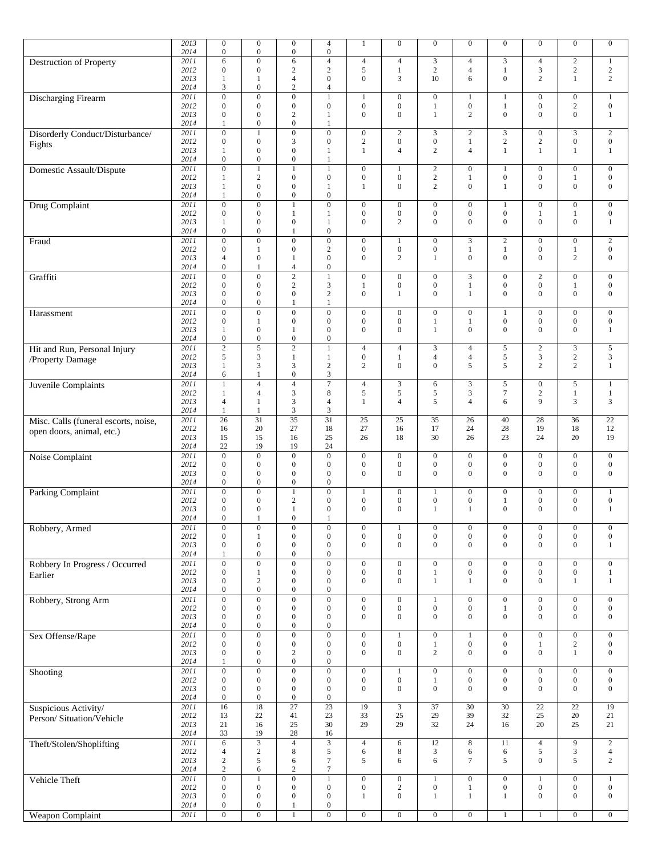|                                      | 2013         | $\boldsymbol{0}$                     | $\mathbf{0}$                 | $\boldsymbol{0}$               | $\overline{4}$                       | $\mathbf{1}$                     | $\boldsymbol{0}$                     | $\mathbf{0}$                   | $\mathbf{0}$                     | $\mathbf{0}$                         | $\mathbf{0}$                 | $\mathbf{0}$                         | $\boldsymbol{0}$                 |
|--------------------------------------|--------------|--------------------------------------|------------------------------|--------------------------------|--------------------------------------|----------------------------------|--------------------------------------|--------------------------------|----------------------------------|--------------------------------------|------------------------------|--------------------------------------|----------------------------------|
|                                      | 2014         | $\mathbf{0}$                         | $\mathbf{0}$                 | $\boldsymbol{0}$               | $\overline{0}$                       |                                  |                                      |                                |                                  |                                      |                              |                                      |                                  |
| Destruction of Property              | 2011         | 6                                    | $\mathbf{0}$                 | 6                              | $\overline{4}$                       | $\overline{4}$                   | $\overline{\mathcal{L}}$             | 3                              | $\overline{4}$                   | $\mathfrak{Z}$                       | $\overline{4}$               | $\sqrt{2}$                           | $\mathbf{1}$                     |
|                                      | 2012         | $\boldsymbol{0}$                     | $\mathbf{0}$                 | $\mathbf{2}$                   | $\mathbf{2}$                         | $\sqrt{5}$                       | $\,1$                                | $\sqrt{2}$                     | $\overline{\mathbf{4}}$          | $\mathbf{1}$                         | $\mathfrak{Z}$               | $\sqrt{2}$                           | $\sqrt{2}$                       |
|                                      | 2013         | 1                                    | -1                           | 4                              | $\mathbf{0}$                         | $\boldsymbol{0}$                 | 3                                    | 10                             | 6                                | $\mathbf{0}$                         | 2                            | $\mathbf{1}$                         | $\sqrt{2}$                       |
|                                      | 2014         | 3                                    | $\mathbf{0}$                 | $\overline{c}$                 | $\overline{4}$                       |                                  |                                      |                                |                                  |                                      |                              |                                      |                                  |
| <b>Discharging Firearm</b>           | 2011         | $\mathbf{0}$                         | $\overline{0}$               | $\overline{0}$                 |                                      | $\mathbf{1}$                     | $\boldsymbol{0}$                     | $\boldsymbol{0}$               | $\mathbf{1}$                     | $\mathbf{1}$                         | $\boldsymbol{0}$             | $\overline{0}$                       | $\mathbf{1}$                     |
|                                      | 2012         | $\boldsymbol{0}$                     | $\mathbf{0}$                 | $\boldsymbol{0}$               | $\boldsymbol{0}$                     | $\boldsymbol{0}$                 | $\boldsymbol{0}$                     | $\mathbf{1}$                   | $\boldsymbol{0}$                 | $\mathbf{1}$                         | $\mathbf{0}$                 | $\sqrt{2}$                           | $\boldsymbol{0}$                 |
|                                      | 2013         | $\boldsymbol{0}$                     | $\mathbf{0}$                 | $\boldsymbol{2}$               | 1                                    | $\mathbf{0}$                     | $\boldsymbol{0}$                     | $\mathbf{1}$                   | $\overline{c}$                   | $\mathbf{0}$                         | $\overline{0}$               | $\mathbf{0}$                         | $\mathbf{1}$                     |
|                                      | 2014         | 1                                    | $\mathbf{0}$                 | $\boldsymbol{0}$               | 1                                    |                                  |                                      |                                |                                  |                                      |                              |                                      |                                  |
| Disorderly Conduct/Disturbance/      | 2011         | $\overline{0}$                       | $\mathbf{1}$                 | $\boldsymbol{0}$               | $\overline{0}$                       | $\mathbf{0}$                     | $\sqrt{2}$                           | 3                              | $\sqrt{2}$                       | $\mathfrak z$                        | $\mathbf{0}$                 | $\mathfrak{Z}$                       | $\sqrt{2}$                       |
| Fights                               | 2012         | $\boldsymbol{0}$                     | $\mathbf{0}$                 | 3                              | $\boldsymbol{0}$                     | $\mathbf{2}$                     | $\boldsymbol{0}$                     | $\boldsymbol{0}$               | $\mathbf{1}$                     | $\sqrt{2}$                           | $\overline{c}$               | $\boldsymbol{0}$                     | $\boldsymbol{0}$                 |
|                                      | 2013         | 1                                    | $\mathbf{0}$                 | $\boldsymbol{0}$               | $\mathbf{1}$                         | $\mathbf{1}$                     | $\overline{4}$                       | $\overline{2}$                 | $\overline{4}$                   | $\mathbf{1}$                         | 1                            | $\mathbf{1}$                         | $\mathbf{1}$                     |
|                                      | 2014         | $\mathbf{0}$                         | $\boldsymbol{0}$             | $\boldsymbol{0}$               | 1                                    |                                  |                                      |                                |                                  |                                      |                              |                                      |                                  |
| Domestic Assault/Dispute             | 2011         | $\overline{0}$                       | $\overline{1}$               | $\mathbf{1}$                   | $\mathbf{1}$                         | $\overline{0}$                   | $\mathbf{1}$                         | $\boldsymbol{2}$               | $\boldsymbol{0}$                 | $\mathbf{1}$                         | $\mathbf{0}$                 | $\overline{0}$                       | $\overline{0}$                   |
|                                      | 2012         | $\mathbf{1}$                         | 2                            | $\boldsymbol{0}$               | $\boldsymbol{0}$                     | $\boldsymbol{0}$                 | $\boldsymbol{0}$                     | $\overline{c}$                 | $\mathbf{1}$                     | $\boldsymbol{0}$                     | $\mathbf{0}$                 | $\mathbf{1}$                         | $\boldsymbol{0}$                 |
|                                      | 2013         | 1                                    | $\mathbf{0}$                 | $\boldsymbol{0}$               | 1                                    | $\mathbf{1}$                     | $\mathbf{0}$                         | $\overline{2}$                 | $\mathbf{0}$                     | $\mathbf{1}$                         | $\overline{0}$               | $\mathbf{0}$                         | $\boldsymbol{0}$                 |
|                                      | 2014         | 1                                    | $\mathbf{0}$                 | $\boldsymbol{0}$               | $\boldsymbol{0}$                     |                                  |                                      |                                |                                  |                                      |                              |                                      |                                  |
| Drug Complaint                       | 2011         | $\overline{0}$                       | $\overline{0}$               | $\mathbf{1}$                   | $\overline{0}$                       | $\mathbf{0}$                     | $\mathbf{0}$                         | $\mathbf{0}$                   | $\mathbf{0}$                     | $\mathbf{1}$                         | $\mathbf{0}$                 | $\mathbf{0}$                         | $\mathbf{0}$                     |
|                                      | 2012         | $\boldsymbol{0}$                     | $\mathbf{0}$                 | $\mathbf{1}$                   | 1                                    | $\boldsymbol{0}$                 | $\boldsymbol{0}$                     | $\boldsymbol{0}$               | $\mathbf{0}$                     | $\boldsymbol{0}$                     | 1                            | $\mathbf{1}$                         | $\boldsymbol{0}$                 |
|                                      | 2013         | 1                                    | $\mathbf{0}$                 | $\boldsymbol{0}$               | 1                                    | $\boldsymbol{0}$                 | $\overline{c}$                       | $\overline{0}$                 | $\mathbf{0}$                     | $\mathbf{0}$                         | $\mathbf{0}$                 | $\boldsymbol{0}$                     | $\mathbf{1}$                     |
|                                      | 2014         | $\boldsymbol{0}$                     | $\mathbf{0}$                 | 1                              | $\boldsymbol{0}$                     |                                  |                                      |                                |                                  |                                      |                              |                                      |                                  |
| Fraud                                | 2011         | $\mathbf{0}$                         | $\overline{0}$               | $\overline{0}$                 | $\boldsymbol{0}$                     | $\mathbf{0}$                     | $\mathbf{1}$                         | $\mathbf{0}$                   | 3                                | $\sqrt{2}$                           | $\mathbf{0}$                 | $\mathbf{0}$                         | $\overline{c}$                   |
|                                      | 2012         | $\overline{0}$                       | $\mathbf{1}$                 | $\boldsymbol{0}$               | $\sqrt{2}$                           | $\mathbf{0}$                     | $\boldsymbol{0}$                     | $\mathbf{0}$                   | $\,1$                            | $\mathbf{1}$                         | $\mathbf{0}$                 | $\mathbf{1}$                         | $\boldsymbol{0}$                 |
|                                      | 2013         | $\overline{4}$                       | $\mathbf{0}$                 | 1                              | $\boldsymbol{0}$                     | $\mathbf{0}$                     | $\overline{c}$                       | 1                              | $\mathbf{0}$                     | $\overline{0}$                       | $\overline{0}$               | $\overline{c}$                       | $\boldsymbol{0}$                 |
|                                      | 2014         | $\boldsymbol{0}$                     | $\mathbf{1}$                 | 4                              | $\boldsymbol{0}$                     |                                  |                                      |                                |                                  |                                      |                              |                                      |                                  |
| Graffiti                             | 2011         | $\mathbf{0}$                         | $\overline{0}$               | $\overline{2}$                 | $\mathbf{1}$                         | $\mathbf{0}$                     | $\boldsymbol{0}$                     | $\mathbf{0}$                   | $\overline{3}$                   | $\boldsymbol{0}$                     | $\overline{c}$               | $\overline{0}$                       | $\mathbf{0}$                     |
|                                      | 2012         | $\boldsymbol{0}$                     | $\mathbf{0}$                 | $\mathbf{2}$                   | $\mathfrak{Z}$                       | $\mathbf{1}$                     | $\boldsymbol{0}$                     | $\boldsymbol{0}$               | $\mathbf{1}$                     | $\boldsymbol{0}$                     | $\mathbf{0}$                 | $\mathbf{1}$                         | $\boldsymbol{0}$                 |
|                                      | 2013         | $\mathbf{0}$                         | $\mathbf{0}$                 | $\boldsymbol{0}$               | $\mathbf{2}$                         | $\boldsymbol{0}$                 | $\mathbf{1}$                         | $\boldsymbol{0}$               | $\mathbf{1}$                     | $\boldsymbol{0}$                     | $\mathbf{0}$                 | $\mathbf{0}$                         | $\boldsymbol{0}$                 |
|                                      | 2014         | $\overline{0}$                       | $\mathbf{0}$                 | $\mathbf{1}$                   | $\mathbf{1}$                         |                                  |                                      |                                |                                  |                                      |                              |                                      |                                  |
| Harassment                           | 2011         | $\overline{0}$                       | $\mathbf{0}$                 | $\boldsymbol{0}$               | $\boldsymbol{0}$                     | $\mathbf{0}$                     | $\boldsymbol{0}$                     | $\boldsymbol{0}$               | $\mathbf{0}$                     | 1                                    | $\mathbf{0}$                 | $\boldsymbol{0}$                     | $\boldsymbol{0}$                 |
|                                      | 2012         | $\overline{0}$                       | $\mathbf{1}$<br>$\mathbf{0}$ | $\boldsymbol{0}$               | $\boldsymbol{0}$<br>$\boldsymbol{0}$ | $\boldsymbol{0}$<br>$\mathbf{0}$ | $\boldsymbol{0}$<br>$\boldsymbol{0}$ | $\mathbf{1}$<br>$\mathbf{1}$   | $\mathbf{1}$<br>$\mathbf{0}$     | $\boldsymbol{0}$<br>$\overline{0}$   | $\mathbf{0}$<br>$\mathbf{0}$ | $\boldsymbol{0}$<br>$\boldsymbol{0}$ | $\boldsymbol{0}$<br>$\mathbf{1}$ |
|                                      | 2013<br>2014 | 1<br>$\mathbf{0}$                    | $\boldsymbol{0}$             | 1<br>$\boldsymbol{0}$          | $\boldsymbol{0}$                     |                                  |                                      |                                |                                  |                                      |                              |                                      |                                  |
|                                      | 2011         | $\overline{2}$                       | $\overline{5}$               | $\overline{2}$                 | $\mathbf{1}$                         | $\overline{4}$                   |                                      | 3                              | $\overline{4}$                   |                                      | $\mathbf{2}$                 | $\overline{\mathbf{3}}$              | $\sqrt{5}$                       |
| Hit and Run, Personal Injury         | 2012         | 5                                    | $\mathfrak{Z}$               | $\mathbf{1}$                   | 1                                    | $\boldsymbol{0}$                 | $\overline{4}$<br>$\mathbf{1}$       | $\overline{4}$                 | $\overline{4}$                   | $\sqrt{5}$<br>5                      | 3                            | $\sqrt{2}$                           | 3                                |
| /Property Damage                     | 2013         | $\mathbf{1}$                         | 3                            | 3                              | $\overline{c}$                       | $\mathbf{2}$                     | $\boldsymbol{0}$                     | $\mathbf{0}$                   | 5                                | 5                                    | 2                            | 2                                    | $\mathbf{1}$                     |
|                                      | 2014         | 6                                    | 1                            | $\mathbf{0}$                   | 3                                    |                                  |                                      |                                |                                  |                                      |                              |                                      |                                  |
| Juvenile Complaints                  | 2011         | $\mathbf{1}$                         | $\overline{4}$               | $\overline{4}$                 | $\overline{7}$                       | $\overline{4}$                   | $\mathfrak{Z}$                       | 6                              | 3                                | $\sqrt{5}$                           | $\overline{0}$               | 5                                    | $\mathbf{1}$                     |
|                                      | 2012         | 1                                    | $\overline{4}$               | 3                              | 8                                    | 5                                | 5                                    | 5                              | 3                                | $\tau$                               | $\mathbf{2}$                 | $\mathbf{1}$                         | $\mathbf{1}$                     |
|                                      | 2013         | $\overline{4}$                       | $\mathbf{1}$                 | 3                              | $\overline{4}$                       | $\mathbf{1}$                     | $\overline{4}$                       | 5                              | $\overline{4}$                   | 6                                    | 9                            | 3                                    | 3                                |
|                                      | 2014         | 1                                    | 1                            | 3                              | 3                                    |                                  |                                      |                                |                                  |                                      |                              |                                      |                                  |
| Misc. Calls (funeral escorts, noise, | 2011         | 26                                   | 31                           | $\overline{35}$                | 31                                   | $\overline{25}$                  | $\overline{25}$                      | $\overline{35}$                | 26                               | 40                                   | 28                           | 36                                   | $\overline{22}$                  |
|                                      | 2012         | 16                                   | 20                           | 27                             | 18                                   | 27                               | 16                                   | 17                             | 24                               | 28                                   | 19                           | 18                                   | 12                               |
| open doors, animal, etc.)            | 2013         | 15                                   | 15                           | 16                             | 25                                   | 26                               | 18                                   | 30                             | 26                               | 23                                   | 24                           | 20                                   | 19                               |
|                                      | 2014         | 22                                   | 19                           | 19                             | 24                                   |                                  |                                      |                                |                                  |                                      |                              |                                      |                                  |
| Noise Complaint                      | 2011         | $\mathbf{0}$                         | $\overline{0}$               | $\overline{0}$                 | $\overline{0}$                       | $\mathbf{0}$                     | $\boldsymbol{0}$                     | $\mathbf{0}$                   | $\boldsymbol{0}$                 | $\boldsymbol{0}$                     | $\mathbf{0}$                 | $\boldsymbol{0}$                     | $\boldsymbol{0}$                 |
|                                      | 2012         | $\boldsymbol{0}$                     | $\mathbf{0}$                 | $\boldsymbol{0}$               | $\boldsymbol{0}$                     | $\boldsymbol{0}$                 | $\boldsymbol{0}$                     | $\boldsymbol{0}$               | $\boldsymbol{0}$                 | $\boldsymbol{0}$                     | $\mathbf{0}$                 | $\mathbf{0}$                         | $\boldsymbol{0}$                 |
|                                      | 2013         | $\overline{0}$                       | $\mathbf{0}$                 | $\boldsymbol{0}$               | $\overline{0}$                       | $\mathbf{0}$                     | $\mathbf{0}$                         | $\overline{0}$                 | $\mathbf{0}$                     | $\overline{0}$                       | $\mathbf{0}$                 | $\mathbf{0}$                         | $\boldsymbol{0}$                 |
|                                      | 2014         | $\boldsymbol{0}$                     | $\mathbf{0}$                 | $\boldsymbol{0}$               | $\boldsymbol{0}$                     |                                  |                                      |                                |                                  |                                      |                              |                                      |                                  |
| <b>Parking Complaint</b>             | 2011         | $\boldsymbol{0}$                     | $\mathbf{0}$                 | $\mathbf{1}$                   | $\boldsymbol{0}$                     | 1                                | $\boldsymbol{0}$                     | 1                              | $\mathbf{0}$                     | $\boldsymbol{0}$                     | $\boldsymbol{0}$             | $\boldsymbol{0}$                     | $\mathbf{1}$                     |
|                                      | 2012         | $\boldsymbol{0}$                     | $\mathbf{0}$                 | $\boldsymbol{2}$               | $\boldsymbol{0}$                     | $\boldsymbol{0}$                 | $\boldsymbol{0}$                     | $\boldsymbol{0}$               | $\boldsymbol{0}$                 | $\mathbf{1}$                         | $\mathbf{0}$                 | $\boldsymbol{0}$                     | $\boldsymbol{0}$                 |
|                                      | 2013         | $\mathbf{0}$                         | $\mathbf{0}$                 | $\mathbf{1}$                   | $\mathbf{0}$                         | $\mathbf{0}$                     | $\mathbf{0}$                         | $\mathbf{1}$                   | 1                                | $\overline{0}$                       | $\overline{0}$               | $\mathbf{0}$                         | $\mathbf{1}$                     |
|                                      | 2014         | $\Omega$                             | $\mathbf{1}$                 | $\overline{0}$                 | 1                                    |                                  |                                      |                                |                                  |                                      |                              |                                      |                                  |
| Robbery, Armed                       | 2011         | $\boldsymbol{0}$                     | $\boldsymbol{0}$             | $\boldsymbol{0}$               | $\bf{0}$                             | $\boldsymbol{0}$                 | 1                                    | $\boldsymbol{0}$               | $\mathbf{0}$                     | $\boldsymbol{0}$                     | $\boldsymbol{0}$             | $\boldsymbol{0}$                     | $\boldsymbol{0}$                 |
|                                      | 2012         | $\mathbf{0}$                         | $\mathbf{1}$                 | $\boldsymbol{0}$               | $\boldsymbol{0}$                     | $\boldsymbol{0}$                 | $\boldsymbol{0}$                     | $\boldsymbol{0}$               | $\boldsymbol{0}$                 | $\boldsymbol{0}$                     | $\mathbf{0}$                 | $\boldsymbol{0}$                     | $\boldsymbol{0}$                 |
|                                      | 2013         | $\overline{0}$                       | $\mathbf{0}$                 | $\boldsymbol{0}$               | $\mathbf{0}$                         | $\mathbf{0}$                     | $\overline{0}$                       | $\overline{0}$                 | $\mathbf{0}$                     | $\overline{0}$                       | $\Omega$                     | $\mathbf{0}$                         | $\mathbf{1}$                     |
|                                      | 2014         | $\mathbf{1}$                         | $\mathbf{0}$                 | $\boldsymbol{0}$               | $\boldsymbol{0}$                     |                                  |                                      |                                |                                  |                                      |                              |                                      |                                  |
| Robbery In Progress / Occurred       | 2011         | $\boldsymbol{0}$                     | $\boldsymbol{0}$             | $\boldsymbol{0}$               | $\boldsymbol{0}$                     | $\boldsymbol{0}$                 | $\boldsymbol{0}$                     | $\boldsymbol{0}$               | $\boldsymbol{0}$                 | $\boldsymbol{0}$                     | $\mathbf{0}$                 | $\mathbf{0}$                         | $\boldsymbol{0}$                 |
| Earlier                              | 2012         | $\boldsymbol{0}$                     | 1                            | $\boldsymbol{0}$               | $\boldsymbol{0}$                     | $\boldsymbol{0}$                 | $\boldsymbol{0}$                     | $\mathbf{1}$                   | $\boldsymbol{0}$                 | $\boldsymbol{0}$                     | $\mathbf{0}$                 | $\boldsymbol{0}$                     | $\mathbf{1}$                     |
|                                      | 2013         | $\boldsymbol{0}$                     | $\sqrt{2}$                   | $\boldsymbol{0}$               | $\boldsymbol{0}$                     | $\mathbf{0}$                     | $\boldsymbol{0}$                     | $\mathbf{1}$                   | $\mathbf{1}$                     | $\boldsymbol{0}$                     | $\mathbf{0}$                 | $\mathbf{1}$                         | $\mathbf{1}$                     |
|                                      | 2014         | $\boldsymbol{0}$                     | $\mathbf{0}$                 | $\mathbf{0}$                   | $\boldsymbol{0}$                     |                                  |                                      |                                |                                  |                                      |                              |                                      |                                  |
| Robbery, Strong Arm                  | 2011         | $\mathbf{0}$                         | $\mathbf{0}$                 | $\boldsymbol{0}$               | $\boldsymbol{0}$                     | $\mathbf{0}$                     | $\boldsymbol{0}$                     | $\mathbf{1}$                   | $\boldsymbol{0}$                 | $\boldsymbol{0}$                     | $\mathbf{0}$                 | $\mathbf{0}$                         | $\boldsymbol{0}$                 |
|                                      | 2012         | $\boldsymbol{0}$                     | $\mathbf{0}$                 | $\boldsymbol{0}$               | $\boldsymbol{0}$                     | $\mathbf 0$                      | $\boldsymbol{0}$                     | $\boldsymbol{0}$               | $\boldsymbol{0}$                 | $\mathbf{1}$                         | $\mathbf{0}$                 | $\boldsymbol{0}$                     | $\boldsymbol{0}$                 |
|                                      | 2013         | $\boldsymbol{0}$                     | $\mathbf{0}$                 | $\boldsymbol{0}$               | $\boldsymbol{0}$                     | $\mathbf{0}$                     | $\boldsymbol{0}$                     | $\boldsymbol{0}$               | $\mathbf{0}$                     | $\boldsymbol{0}$                     | $\overline{0}$               | $\boldsymbol{0}$                     | $\boldsymbol{0}$                 |
|                                      | 2014         | $\mathbf{0}$                         | $\boldsymbol{0}$             | $\boldsymbol{0}$               | $\boldsymbol{0}$                     |                                  |                                      |                                |                                  |                                      |                              |                                      |                                  |
| Sex Offense/Rape                     | 2011         | $\mathbf{0}$                         | $\overline{0}$               | $\overline{0}$                 | $\boldsymbol{0}$                     | $\overline{0}$                   | $\mathbf{1}$                         | $\boldsymbol{0}$               | $\mathbf{1}$                     | $\boldsymbol{0}$                     | $\mathbf{0}$                 | $\overline{0}$                       | $\mathbf{0}$                     |
|                                      | 2012<br>2013 | $\boldsymbol{0}$<br>$\boldsymbol{0}$ | $\mathbf{0}$<br>$\mathbf{0}$ | $\boldsymbol{0}$<br>$\sqrt{2}$ | $\boldsymbol{0}$<br>$\boldsymbol{0}$ | $\boldsymbol{0}$<br>$\mathbf{0}$ | $\boldsymbol{0}$<br>$\boldsymbol{0}$ | $\mathbf{1}$<br>$\overline{2}$ | $\boldsymbol{0}$<br>$\mathbf{0}$ | $\boldsymbol{0}$<br>$\boldsymbol{0}$ | 1<br>$\mathbf{0}$            | $\sqrt{2}$<br>$\mathbf{1}$           | $\overline{0}$<br>$\overline{0}$ |
|                                      | 2014         | 1                                    | $\boldsymbol{0}$             | $\boldsymbol{0}$               | $\boldsymbol{0}$                     |                                  |                                      |                                |                                  |                                      |                              |                                      |                                  |
|                                      | 2011         | $\mathbf{0}$                         | $\mathbf{0}$                 | $\boldsymbol{0}$               | $\boldsymbol{0}$                     | $\boldsymbol{0}$                 | $\mathbf{1}$                         | $\mathbf{0}$                   | $\boldsymbol{0}$                 | $\boldsymbol{0}$                     | $\mathbf{0}$                 | $\mathbf{0}$                         | $\boldsymbol{0}$                 |
| Shooting                             | 2012         | $\boldsymbol{0}$                     | $\mathbf{0}$                 | $\boldsymbol{0}$               | $\boldsymbol{0}$                     | $\boldsymbol{0}$                 | $\boldsymbol{0}$                     | 1                              | $\mathbf{0}$                     | $\boldsymbol{0}$                     | $\boldsymbol{0}$             | $\boldsymbol{0}$                     | $\boldsymbol{0}$                 |
|                                      | 2013         | $\mathbf{0}$                         | $\mathbf{0}$                 | $\boldsymbol{0}$               | $\boldsymbol{0}$                     | $\mathbf{0}$                     | $\boldsymbol{0}$                     | $\mathbf{0}$                   | $\boldsymbol{0}$                 | $\boldsymbol{0}$                     | $\overline{0}$               | $\mathbf{0}$                         | $\boldsymbol{0}$                 |
|                                      | 2014         | $\boldsymbol{0}$                     | $\boldsymbol{0}$             | $\boldsymbol{0}$               | $\boldsymbol{0}$                     |                                  |                                      |                                |                                  |                                      |                              |                                      |                                  |
| Suspicious Activity/                 | 2011         | 16                                   | $\overline{18}$              | $\overline{27}$                | $\overline{23}$                      | $\overline{19}$                  | $\overline{3}$                       | $\overline{37}$                | $\overline{30}$                  | $\overline{30}$                      | $\overline{22}$              | $\overline{22}$                      | $\overline{19}$                  |
|                                      | 2012         | 13                                   | 22                           | 41                             | 23                                   | 33                               | $25\,$                               | 29                             | 39                               | 32                                   | 25                           | 20                                   | $21\,$                           |
| Person/Situation/Vehicle             | 2013         | 21                                   | 16                           | 25                             | 30                                   | 29                               | 29                                   | 32                             | 24                               | 16                                   | 20                           | 25                                   | 21                               |
|                                      | 2014         | 33                                   | 19                           | $28\,$                         | 16                                   |                                  |                                      |                                |                                  |                                      |                              |                                      |                                  |
| Theft/Stolen/Shoplifting             | 2011         | $\sqrt{6}$                           | $\overline{3}$               | $\overline{4}$                 | $\overline{3}$                       | $\overline{4}$                   | 6                                    | 12                             | 8                                | 11                                   | $\overline{4}$               | 9                                    | $\overline{2}$                   |
|                                      | 2012         | $\overline{4}$                       | $\sqrt{2}$                   | 8                              | 5                                    | 6                                | 8                                    | 3                              | 6                                | 6                                    | 5                            | 3                                    | $\overline{4}$                   |
|                                      | 2013         | $\sqrt{2}$                           | $\sqrt{5}$                   | 6                              | $\tau$                               | 5                                | 6                                    | 6                              | $\tau$                           | 5                                    | $\mathbf{0}$                 | $\mathfrak{S}$                       | $\mathbf{2}$                     |
|                                      | 2014         | $\overline{c}$                       | 6                            | $\boldsymbol{2}$               | $\tau$                               |                                  |                                      |                                |                                  |                                      |                              |                                      |                                  |
| Vehicle Theft                        | 2011         | $\mathbf{0}$                         | $\mathbf{1}$                 | $\overline{0}$                 | $\mathbf{1}$                         | $\boldsymbol{0}$                 | $\boldsymbol{0}$                     | $\mathbf{1}$                   | $\mathbf{0}$                     | $\boldsymbol{0}$                     | 1                            | $\boldsymbol{0}$                     | 1                                |
|                                      | 2012         | $\boldsymbol{0}$                     | $\mathbf{0}$                 | $\boldsymbol{0}$               | $\boldsymbol{0}$                     | $\boldsymbol{0}$                 | $\sqrt{2}$                           | $\boldsymbol{0}$               | $\mathbf{1}$                     | $\boldsymbol{0}$                     | $\boldsymbol{0}$             | $\boldsymbol{0}$                     | $\boldsymbol{0}$                 |
|                                      | 2013         | $\boldsymbol{0}$                     | $\mathbf{0}$                 | $\boldsymbol{0}$               | $\boldsymbol{0}$                     | $\mathbf{1}$                     | $\boldsymbol{0}$                     | $\mathbf{1}$                   | $\mathbf{1}$                     | $\mathbf{1}$                         | $\mathbf{0}$                 | $\mathbf{0}$                         | $\overline{0}$                   |
|                                      | 2014         | $\boldsymbol{0}$                     | $\boldsymbol{0}$             | $\mathbf{1}$                   | $\boldsymbol{0}$                     |                                  |                                      |                                |                                  |                                      |                              |                                      |                                  |
| <b>Weapon Complaint</b>              | 2011         | $\boldsymbol{0}$                     | $\overline{0}$               | $\mathbf{1}$                   | $\boldsymbol{0}$                     | $\boldsymbol{0}$                 | $\boldsymbol{0}$                     | $\boldsymbol{0}$               | $\overline{0}$                   | $\mathbf{1}$                         | $\mathbf{1}$                 | $\boldsymbol{0}$                     | $\overline{0}$                   |
|                                      |              |                                      |                              |                                |                                      |                                  |                                      |                                |                                  |                                      |                              |                                      |                                  |